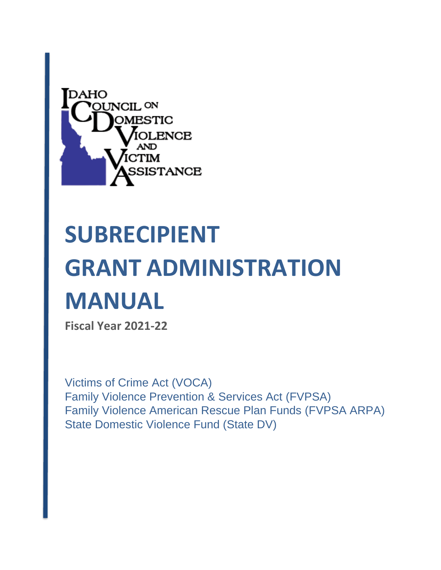

# **SUBRECIPIENT GRANT ADMINISTRATION MANUAL**

**Fiscal Year 2021-22**

Victims of Crime Act (VOCA) Family Violence Prevention & Services Act (FVPSA) Family Violence American Rescue Plan Funds (FVPSA ARPA) State Domestic Violence Fund (State DV)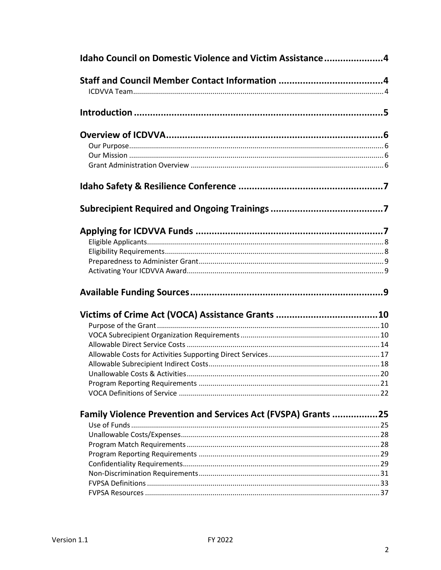| Idaho Council on Domestic Violence and Victim Assistance4     |  |
|---------------------------------------------------------------|--|
|                                                               |  |
|                                                               |  |
|                                                               |  |
|                                                               |  |
|                                                               |  |
|                                                               |  |
|                                                               |  |
|                                                               |  |
|                                                               |  |
|                                                               |  |
|                                                               |  |
|                                                               |  |
|                                                               |  |
|                                                               |  |
|                                                               |  |
|                                                               |  |
|                                                               |  |
|                                                               |  |
|                                                               |  |
|                                                               |  |
|                                                               |  |
|                                                               |  |
|                                                               |  |
|                                                               |  |
|                                                               |  |
| Family Violence Prevention and Services Act (FVSPA) Grants 25 |  |
|                                                               |  |
|                                                               |  |
|                                                               |  |
|                                                               |  |
|                                                               |  |
|                                                               |  |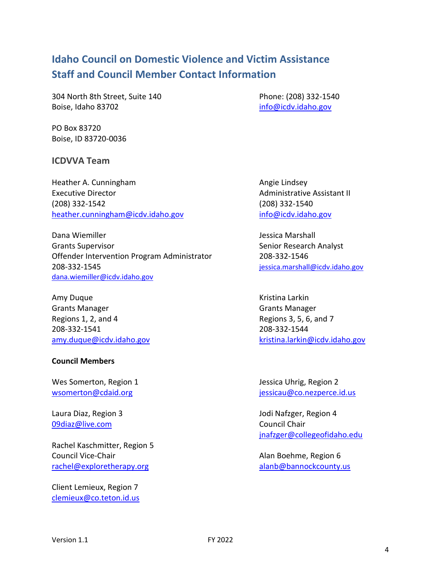# <span id="page-3-1"></span><span id="page-3-0"></span>**Idaho Council on Domestic Violence and Victim Assistance Staff and Council Member Contact Information**

304 North 8th Street, Suite 140 Phone: (208) 332-1540 Boise, Idaho 83702 [info@icdv.idaho.gov](mailto:info@icdv.idaho.gov)

PO Box 83720 Boise, ID 83720-0036

### <span id="page-3-2"></span>**ICDVVA Team**

Heather A. Cunningham Angie Lindsey Executive Director **Administrative Assistant II Administrative Assistant II** (208) 332-1542 (208) 332-1540 [heather.cunningham@icdv.idaho.gov](mailto:nicole.fitzgerald@icdv.idaho.gov) [info@icdv.idaho.gov](mailto:info@icdv.idaho.gov)

Dana Wiemiller **Jessica Marshall** Grants Supervisor Supervisor Senior Research Analyst Offender Intervention Program Administrator 208-332-1546 208-332-1545 [jessica.marshall@icdv.idaho.gov](mailto:jessica.marshall@icdv.idaho.gov) [dana.wiemiller@icdv.idaho.gov](mailto:dana.wiemiller@icdv.idaho.gov)

Amy Duque **Amy Duque Community** Contract Community Contract Community Contract Community Community Community Community Community Community Community Community Community Community Community Community Community Community Com Grants Manager Grants Manager Regions 1, 2, and 4 Regions 3, 5, 6, and 7 208-332-1541 208-332-1544

### **Council Members**

Wes Somerton, Region 1 and 1 Jessica Uhrig, Region 2

[09diaz@live.com](mailto:09diaz@live.com) Council Chair

Rachel Kaschmitter, Region 5 Council Vice-Chair **Alan Boehme, Region 6** and Council Vice-Chair [rachel@exploretherapy.org](mailto:rachel@exploretherapy.org) and [alanb@bannockcounty.us](mailto:alanb@bannockcounty.us)

Client Lemieux, Region 7 [clemieux@co.teton.id.us](mailto:clemieux@co.teton.id.us)

[amy.duque@icdv.idaho.gov](mailto:amy.duque@icdv.idaho.gov) https://www.faritima.larkin@icdv.idaho.gov

[wsomerton@cdaid.org](mailto:wsomerton@cdaid.org) in the set of the set of the set of the set of the set of the set of the set of the set of the set of the set of the set of the set of the set of the set of the set of the set of the set of the set of t

Laura Diaz, Region 3 Jodi Nafzger, Region 4 [jnafzger@collegeofidaho.edu](mailto:jnafzger@collegeofidaho.edu)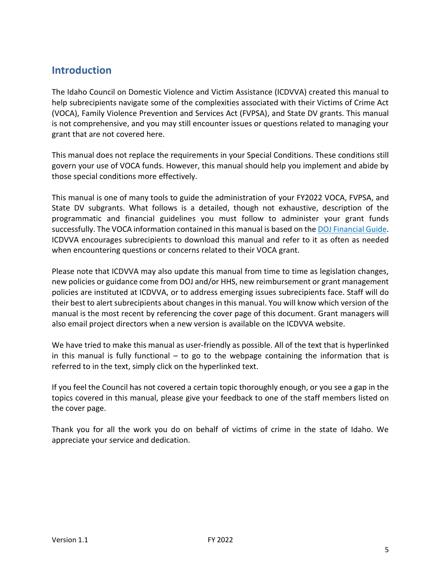# <span id="page-4-0"></span>**Introduction**

The Idaho Council on Domestic Violence and Victim Assistance (ICDVVA) created this manual to help subrecipients navigate some of the complexities associated with their Victims of Crime Act (VOCA), Family Violence Prevention and Services Act (FVPSA), and State DV grants. This manual is not comprehensive, and you may still encounter issues or questions related to managing your grant that are not covered here.

This manual does not replace the requirements in your Special Conditions. These conditions still govern your use of VOCA funds. However, this manual should help you implement and abide by those special conditions more effectively.

This manual is one of many tools to guide the administration of your FY2022 VOCA, FVPSA, and State DV subgrants. What follows is a detailed, though not exhaustive, description of the programmatic and financial guidelines you must follow to administer your grant funds successfully. The VOCA information contained in this manual is based on th[e DOJ Financial Guide.](https://ojp.gov/financialguide/doj/pdfs/DOJ_FinancialGuide.pdf) ICDVVA encourages subrecipients to download this manual and refer to it as often as needed when encountering questions or concerns related to their VOCA grant.

Please note that ICDVVA may also update this manual from time to time as legislation changes, new policies or guidance come from DOJ and/or HHS, new reimbursement or grant management policies are instituted at ICDVVA, or to address emerging issues subrecipients face. Staff will do their best to alert subrecipients about changes in this manual. You will know which version of the manual is the most recent by referencing the cover page of this document. Grant managers will also email project directors when a new version is available on the ICDVVA website.

We have tried to make this manual as user-friendly as possible. All of the text that is hyperlinked in this manual is fully functional  $-$  to go to the webpage containing the information that is referred to in the text, simply click on the hyperlinked text.

If you feel the Council has not covered a certain topic thoroughly enough, or you see a gap in the topics covered in this manual, please give your feedback to one of the staff members listed on the cover page.

Thank you for all the work you do on behalf of victims of crime in the state of Idaho. We appreciate your service and dedication.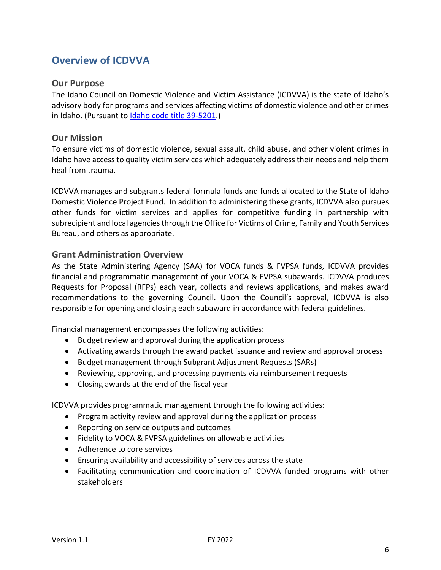# <span id="page-5-0"></span>**Overview of ICDVVA**

### <span id="page-5-1"></span>**Our Purpose**

The Idaho Council on Domestic Violence and Victim Assistance (ICDVVA) is the state of Idaho's advisory body for programs and services affecting victims of domestic violence and other crimes in Idaho. (Pursuant to [Idaho code title 39-5201.](https://legislature.idaho.gov/statutesrules/idstat/title39/t39ch52/sect39-5201/))

### <span id="page-5-2"></span>**Our Mission**

To ensure victims of domestic violence, sexual assault, child abuse, and other violent crimes in Idaho have access to quality victim services which adequately address their needs and help them heal from trauma.

ICDVVA manages and subgrants federal formula funds and funds allocated to the State of Idaho Domestic Violence Project Fund. In addition to administering these grants, ICDVVA also pursues other funds for victim services and applies for competitive funding in partnership with subrecipient and local agencies through the Office for Victims of Crime, Family and Youth Services Bureau, and others as appropriate.

### <span id="page-5-3"></span>**Grant Administration Overview**

As the State Administering Agency (SAA) for VOCA funds & FVPSA funds, ICDVVA provides financial and programmatic management of your VOCA & FVPSA subawards. ICDVVA produces Requests for Proposal (RFPs) each year, collects and reviews applications, and makes award recommendations to the governing Council. Upon the Council's approval, ICDVVA is also responsible for opening and closing each subaward in accordance with federal guidelines.

Financial management encompasses the following activities:

- Budget review and approval during the application process
- Activating awards through the award packet issuance and review and approval process
- Budget management through Subgrant Adjustment Requests (SARs)
- Reviewing, approving, and processing payments via reimbursement requests
- Closing awards at the end of the fiscal year

ICDVVA provides programmatic management through the following activities:

- Program activity review and approval during the application process
- Reporting on service outputs and outcomes
- Fidelity to VOCA & FVPSA guidelines on allowable activities
- Adherence to core services
- Ensuring availability and accessibility of services across the state
- Facilitating communication and coordination of ICDVVA funded programs with other stakeholders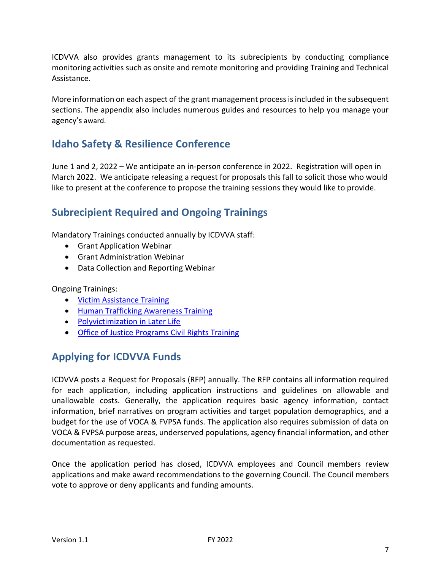ICDVVA also provides grants management to its subrecipients by conducting compliance monitoring activities such as onsite and remote monitoring and providing Training and Technical Assistance.

More information on each aspect of the grant management process is included in the subsequent sections. The appendix also includes numerous guides and resources to help you manage your agency's award.

# <span id="page-6-0"></span>**Idaho Safety & Resilience Conference**

June 1 and 2, 2022 – We anticipate an in-person conference in 2022. Registration will open in March 2022. We anticipate releasing a request for proposals this fall to solicit those who would like to present at the conference to propose the training sessions they would like to provide.

# <span id="page-6-1"></span>**Subrecipient Required and Ongoing Trainings**

Mandatory Trainings conducted annually by ICDVVA staff:

- Grant Application Webinar
- Grant Administration Webinar
- Data Collection and Reporting Webinar

Ongoing Trainings:

- [Victim Assistance Training](https://www.ovcttac.gov/views/TrainingMaterials/dspOnline_VATOnline.cfm)
- [Human Trafficking Awareness Training](https://www.dhs.gov/blue-campaign/awareness-training)
- [Polyvictimization in Later Life](https://www.ovcttac.gov/views/TrainingMaterials/dspOnline_polyvictimization.cfm)
- [Office of Justice Programs Civil Rights Training](https://icdv.idaho.gov/resources/civil-rights/)

# <span id="page-6-2"></span>**Applying for ICDVVA Funds**

ICDVVA posts a Request for Proposals (RFP) annually. The RFP contains all information required for each application, including application instructions and guidelines on allowable and unallowable costs. Generally, the application requires basic agency information, contact information, brief narratives on program activities and target population demographics, and a budget for the use of VOCA & FVPSA funds. The application also requires submission of data on VOCA & FVPSA purpose areas, underserved populations, agency financial information, and other documentation as requested.

Once the application period has closed, ICDVVA employees and Council members review applications and make award recommendations to the governing Council. The Council members vote to approve or deny applicants and funding amounts.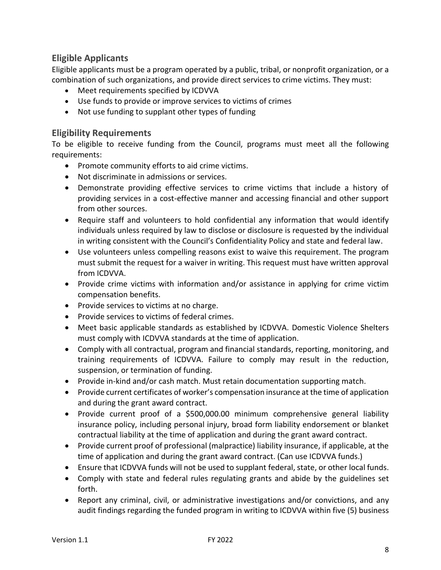# <span id="page-7-0"></span>**Eligible Applicants**

Eligible applicants must be a program operated by a public, tribal, or nonprofit organization, or a combination of such organizations, and provide direct services to crime victims. They must:

- Meet requirements specified by ICDVVA
- Use funds to provide or improve services to victims of crimes
- Not use funding to supplant other types of funding

# <span id="page-7-1"></span>**Eligibility Requirements**

To be eligible to receive funding from the Council, programs must meet all the following requirements:

- Promote community efforts to aid crime victims.
- Not discriminate in admissions or services.
- Demonstrate providing effective services to crime victims that include a history of providing services in a cost-effective manner and accessing financial and other support from other sources.
- Require staff and volunteers to hold confidential any information that would identify individuals unless required by law to disclose or disclosure is requested by the individual in writing consistent with the Council's Confidentiality Policy and state and federal law.
- Use volunteers unless compelling reasons exist to waive this requirement. The program must submit the request for a waiver in writing. This request must have written approval from ICDVVA.
- Provide crime victims with information and/or assistance in applying for crime victim compensation benefits.
- Provide services to victims at no charge.
- Provide services to victims of federal crimes.
- Meet basic applicable standards as established by ICDVVA. Domestic Violence Shelters must comply with ICDVVA standards at the time of application.
- Comply with all contractual, program and financial standards, reporting, monitoring, and training requirements of ICDVVA. Failure to comply may result in the reduction, suspension, or termination of funding.
- Provide in-kind and/or cash match. Must retain documentation supporting match.
- Provide current certificates of worker's compensation insurance at the time of application and during the grant award contract.
- Provide current proof of a \$500,000.00 minimum comprehensive general liability insurance policy, including personal injury, broad form liability endorsement or blanket contractual liability at the time of application and during the grant award contract.
- Provide current proof of professional (malpractice) liability insurance, if applicable, at the time of application and during the grant award contract. (Can use ICDVVA funds.)
- Ensure that ICDVVA funds will not be used to supplant federal, state, or other local funds.
- Comply with state and federal rules regulating grants and abide by the guidelines set forth.
- Report any criminal, civil, or administrative investigations and/or convictions, and any audit findings regarding the funded program in writing to ICDVVA within five (5) business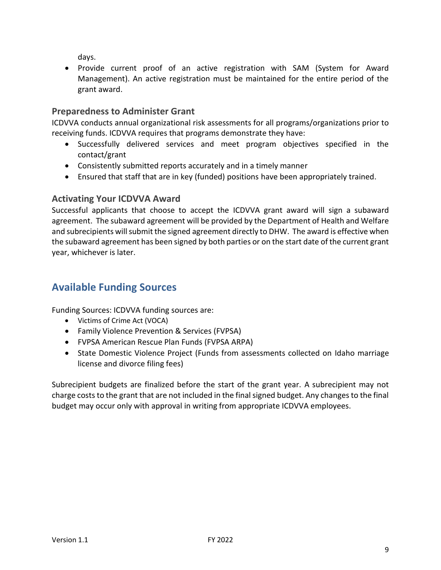days.

• Provide current proof of an active registration with SAM (System for Award Management). An active registration must be maintained for the entire period of the grant award.

# <span id="page-8-0"></span>**Preparedness to Administer Grant**

ICDVVA conducts annual organizational risk assessments for all programs/organizations prior to receiving funds. ICDVVA requires that programs demonstrate they have:

- Successfully delivered services and meet program objectives specified in the contact/grant
- Consistently submitted reports accurately and in a timely manner
- Ensured that staff that are in key (funded) positions have been appropriately trained.

# <span id="page-8-1"></span>**Activating Your ICDVVA Award**

Successful applicants that choose to accept the ICDVVA grant award will sign a subaward agreement. The subaward agreement will be provided by the Department of Health and Welfare and subrecipients will submit the signed agreement directly to DHW. The award is effective when the subaward agreement has been signed by both parties or on the start date of the current grant year, whichever is later.

# <span id="page-8-2"></span>**Available Funding Sources**

Funding Sources: ICDVVA funding sources are:

- Victims of Crime Act (VOCA)
- Family Violence Prevention & Services (FVPSA)
- FVPSA American Rescue Plan Funds (FVPSA ARPA)
- State Domestic Violence Project (Funds from assessments collected on Idaho marriage license and divorce filing fees)

Subrecipient budgets are finalized before the start of the grant year. A subrecipient may not charge costs to the grant that are not included in the final signed budget. Any changes to the final budget may occur only with approval in writing from appropriate ICDVVA employees.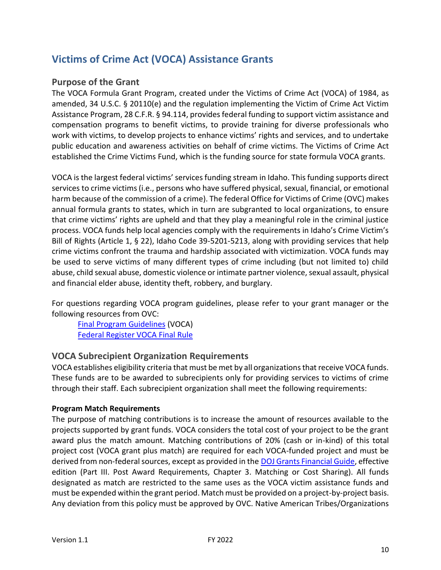# <span id="page-9-0"></span>**Victims of Crime Act (VOCA) Assistance Grants**

# <span id="page-9-1"></span>**Purpose of the Grant**

The VOCA Formula Grant Program, created under the Victims of Crime Act (VOCA) of 1984, as amended, 34 U.S.C. § 20110(e) and the regulation implementing the Victim of Crime Act Victim Assistance Program, 28 C.F.R. § 94.114, provides federal funding to support victim assistance and compensation programs to benefit victims, to provide training for diverse professionals who work with victims, to develop projects to enhance victims' rights and services, and to undertake public education and awareness activities on behalf of crime victims. The Victims of Crime Act established the Crime Victims Fund, which is the funding source for state formula VOCA grants.

VOCA is the largest federal victims' services funding stream in Idaho. This funding supports direct services to crime victims (i.e., persons who have suffered physical, sexual, financial, or emotional harm because of the commission of a crime). The federal Office for Victims of Crime (OVC) makes annual formula grants to states, which in turn are subgranted to local organizations, to ensure that crime victims' rights are upheld and that they play a meaningful role in the criminal justice process. VOCA funds help local agencies comply with the requirements in Idaho's Crime Victim's Bill of Rights (Article 1, § 22), Idaho Code 39-5201-5213, along with providing services that help crime victims confront the trauma and hardship associated with victimization. VOCA funds may be used to serve victims of many different types of crime including (but not limited to) child abuse, child sexual abuse, domestic violence or intimate partner violence, sexual assault, physical and financial elder abuse, identity theft, robbery, and burglary.

For questions regarding VOCA program guidelines, please refer to your grant manager or the following resources from OVC:

[Final Program Guidelines](https://www.ovc.gov/voca/vaguide.htm) (VOCA) [Federal Register VOCA Final Rule](https://www.govinfo.gov/content/pkg/FR-2016-07-08/pdf/2016-16085.pdf)

# <span id="page-9-2"></span>**VOCA Subrecipient Organization Requirements**

VOCA establishes eligibility criteria that must be met by all organizations that receive VOCA funds. These funds are to be awarded to subrecipients only for providing services to victims of crime through their staff. Each subrecipient organization shall meet the following requirements:

### **Program Match Requirements**

The purpose of matching contributions is to increase the amount of resources available to the projects supported by grant funds. VOCA considers the total cost of your project to be the grant award plus the match amount. Matching contributions of 20% (cash or in-kind) of this total project cost (VOCA grant plus match) are required for each VOCA-funded project and must be derived from non-federal sources, except as provided in the [DOJ Grants Financial Guide,](https://www.ojp.gov/sites/g/files/xyckuh241/files/media/document/DOJ_FinancialGuide_1.pdf) effective edition (Part III. Post Award Requirements, Chapter 3. Matching or Cost Sharing). All funds designated as match are restricted to the same uses as the VOCA victim assistance funds and must be expended within the grant period. Match must be provided on a project-by-project basis. Any deviation from this policy must be approved by OVC. Native American Tribes/Organizations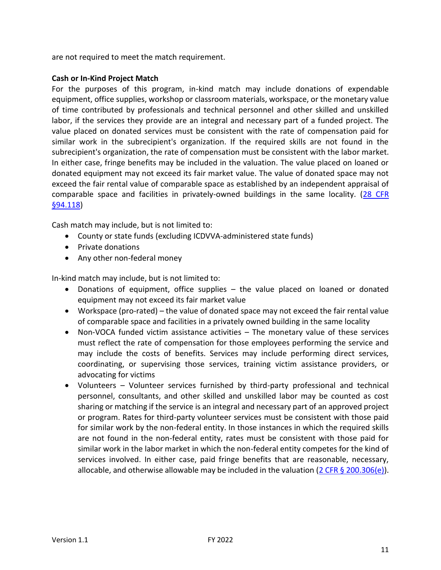are not required to meet the match requirement.

### **Cash or In-Kind Project Match**

For the purposes of this program, in-kind match may include donations of expendable equipment, office supplies, workshop or classroom materials, workspace, or the monetary value of time contributed by professionals and technical personnel and other skilled and unskilled labor, if the services they provide are an integral and necessary part of a funded project. The value placed on donated services must be consistent with the rate of compensation paid for similar work in the subrecipient's organization. If the required skills are not found in the subrecipient's organization, the rate of compensation must be consistent with the labor market. In either case, fringe benefits may be included in the valuation. The value placed on loaned or donated equipment may not exceed its fair market value. The value of donated space may not exceed the fair rental value of comparable space as established by an independent appraisal of comparable space and facilities in privately-owned buildings in the same locality. [\(28 CFR](https://www.law.cornell.edu/cfr/text/28/94.118)  [§94.118\)](https://www.law.cornell.edu/cfr/text/28/94.118)

Cash match may include, but is not limited to:

- County or state funds (excluding ICDVVA-administered state funds)
- Private donations
- Any other non-federal money

In-kind match may include, but is not limited to:

- Donations of equipment, office supplies the value placed on loaned or donated equipment may not exceed its fair market value
- Workspace (pro-rated) the value of donated space may not exceed the fair rental value of comparable space and facilities in a privately owned building in the same locality
- Non-VOCA funded victim assistance activities The monetary value of these services must reflect the rate of compensation for those employees performing the service and may include the costs of benefits. Services may include performing direct services, coordinating, or supervising those services, training victim assistance providers, or advocating for victims
- Volunteers Volunteer services furnished by third-party professional and technical personnel, consultants, and other skilled and unskilled labor may be counted as cost sharing or matching if the service is an integral and necessary part of an approved project or program. Rates for third-party volunteer services must be consistent with those paid for similar work by the non-federal entity. In those instances in which the required skills are not found in the non-federal entity, rates must be consistent with those paid for similar work in the labor market in which the non-federal entity competes for the kind of services involved. In either case, paid fringe benefits that are reasonable, necessary, allocable, and otherwise allowable may be included in the valuation  $(2 \text{ CFR } \S$  200.306(e)).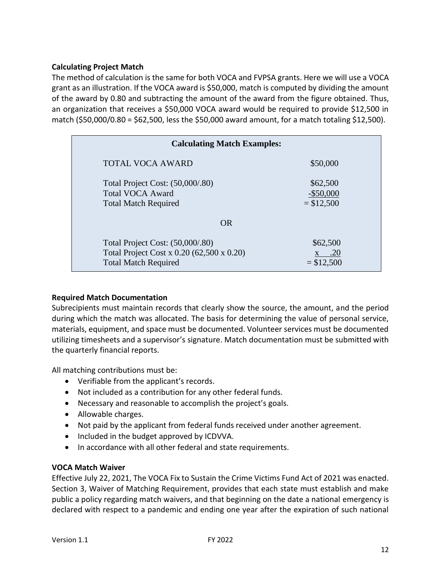### **Calculating Project Match**

The method of calculation is the same for both VOCA and FVPSA grants. Here we will use a VOCA grant as an illustration. If the VOCA award is \$50,000, match is computed by dividing the amount of the award by 0.80 and subtracting the amount of the award from the figure obtained. Thus, an organization that receives a \$50,000 VOCA award would be required to provide \$12,500 in match (\$50,000/0.80 = \$62,500, less the \$50,000 award amount, for a match totaling \$12,500).

| <b>Calculating Match Examples:</b>                                                                           |                                         |
|--------------------------------------------------------------------------------------------------------------|-----------------------------------------|
| <b>TOTAL VOCA AWARD</b>                                                                                      | \$50,000                                |
| Total Project Cost: (50,000/.80)<br><b>Total VOCA Award</b><br><b>Total Match Required</b>                   | \$62,500<br>$-$ \$50,000<br>$= $12,500$ |
| <b>OR</b>                                                                                                    |                                         |
| Total Project Cost: (50,000/.80)<br>Total Project Cost x 0.20 (62,500 x 0.20)<br><b>Total Match Required</b> | \$62,500<br>.20<br>$= $12,500$          |

### **Required Match Documentation**

Subrecipients must maintain records that clearly show the source, the amount, and the period during which the match was allocated. The basis for determining the value of personal service, materials, equipment, and space must be documented. Volunteer services must be documented utilizing timesheets and a supervisor's signature. Match documentation must be submitted with the quarterly financial reports.

All matching contributions must be:

- Verifiable from the applicant's records.
- Not included as a contribution for any other federal funds.
- Necessary and reasonable to accomplish the project's goals.
- Allowable charges.
- Not paid by the applicant from federal funds received under another agreement.
- Included in the budget approved by ICDVVA.
- In accordance with all other federal and state requirements.

### **VOCA Match Waiver**

Effective July 22, 2021, The VOCA Fix to Sustain the Crime Victims Fund Act of 2021 was enacted. Section 3, Waiver of Matching Requirement, provides that each state must establish and make public a policy regarding match waivers, and that beginning on the date a national emergency is declared with respect to a pandemic and ending one year after the expiration of such national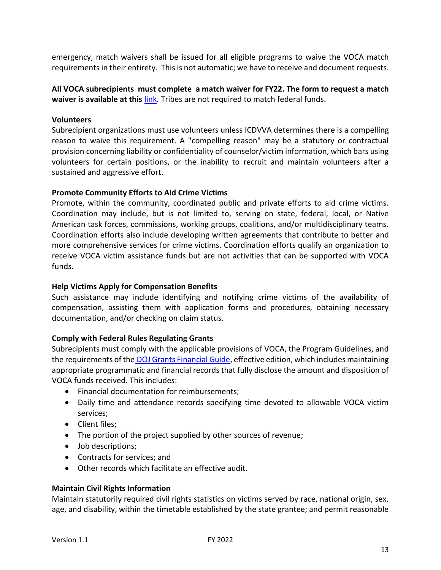emergency, match waivers shall be issued for all eligible programs to waive the VOCA match requirements in their entirety. This is not automatic; we have to receive and document requests.

**All VOCA subrecipients must complete a match waiver for FY22. The form to request a match waiver is available at this** [link.](https://form.jotform.com/212227074866155) Tribes are not required to match federal funds.

### **Volunteers**

Subrecipient organizations must use volunteers unless ICDVVA determines there is a compelling reason to waive this requirement. A "compelling reason" may be a statutory or contractual provision concerning liability or confidentiality of counselor/victim information, which bars using volunteers for certain positions, or the inability to recruit and maintain volunteers after a sustained and aggressive effort.

### **Promote Community Efforts to Aid Crime Victims**

Promote, within the community, coordinated public and private efforts to aid crime victims. Coordination may include, but is not limited to, serving on state, federal, local, or Native American task forces, commissions, working groups, coalitions, and/or multidisciplinary teams. Coordination efforts also include developing written agreements that contribute to better and more comprehensive services for crime victims. Coordination efforts qualify an organization to receive VOCA victim assistance funds but are not activities that can be supported with VOCA funds.

### **Help Victims Apply for Compensation Benefits**

Such assistance may include identifying and notifying crime victims of the availability of compensation, assisting them with application forms and procedures, obtaining necessary documentation, and/or checking on claim status.

### **Comply with Federal Rules Regulating Grants**

Subrecipients must comply with the applicable provisions of VOCA, the Program Guidelines, and the requirements of the **DOJ Grants Financial Guide**, effective edition, which includes maintaining appropriate programmatic and financial records that fully disclose the amount and disposition of VOCA funds received. This includes:

- Financial documentation for reimbursements;
- Daily time and attendance records specifying time devoted to allowable VOCA victim services;
- Client files;
- The portion of the project supplied by other sources of revenue;
- Job descriptions;
- Contracts for services; and
- Other records which facilitate an effective audit.

### **Maintain Civil Rights Information**

Maintain statutorily required civil rights statistics on victims served by race, national origin, sex, age, and disability, within the timetable established by the state grantee; and permit reasonable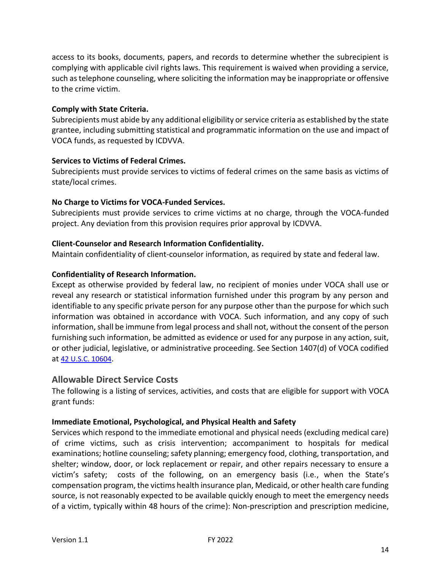access to its books, documents, papers, and records to determine whether the subrecipient is complying with applicable civil rights laws. This requirement is waived when providing a service, such as telephone counseling, where soliciting the information may be inappropriate or offensive to the crime victim.

### **Comply with State Criteria.**

Subrecipients must abide by any additional eligibility or service criteria as established by the state grantee, including submitting statistical and programmatic information on the use and impact of VOCA funds, as requested by ICDVVA.

### **Services to Victims of Federal Crimes.**

Subrecipients must provide services to victims of federal crimes on the same basis as victims of state/local crimes.

### **No Charge to Victims for VOCA-Funded Services.**

Subrecipients must provide services to crime victims at no charge, through the VOCA-funded project. Any deviation from this provision requires prior approval by ICDVVA.

### **Client-Counselor and Research Information Confidentiality.**

Maintain confidentiality of client-counselor information, as required by state and federal law.

### **Confidentiality of Research Information.**

Except as otherwise provided by federal law, no recipient of monies under VOCA shall use or reveal any research or statistical information furnished under this program by any person and identifiable to any specific private person for any purpose other than the purpose for which such information was obtained in accordance with VOCA. Such information, and any copy of such information, shall be immune from legal process and shall not, without the consent of the person furnishing such information, be admitted as evidence or used for any purpose in any action, suit, or other judicial, legislative, or administrative proceeding. See Section 1407(d) of VOCA codified at [42 U.S.C. 10604](https://codes.findlaw.com/us/title-42-the-public-health-and-welfare/42-usc-sect-10604.html#:~:text=No%20person%20shall%20on%20the,made%20available%20under%20this%20chapter.).

### <span id="page-13-0"></span>**Allowable Direct Service Costs**

The following is a listing of services, activities, and costs that are eligible for support with VOCA grant funds:

### **Immediate Emotional, Psychological, and Physical Health and Safety**

Services which respond to the immediate emotional and physical needs (excluding medical care) of crime victims, such as crisis intervention; accompaniment to hospitals for medical examinations; hotline counseling; safety planning; emergency food, clothing, transportation, and shelter; window, door, or lock replacement or repair, and other repairs necessary to ensure a victim's safety; costs of the following, on an emergency basis (i.e., when the State's compensation program, the victims health insurance plan, Medicaid, or other health care funding source, is not reasonably expected to be available quickly enough to meet the emergency needs of a victim, typically within 48 hours of the crime): Non-prescription and prescription medicine,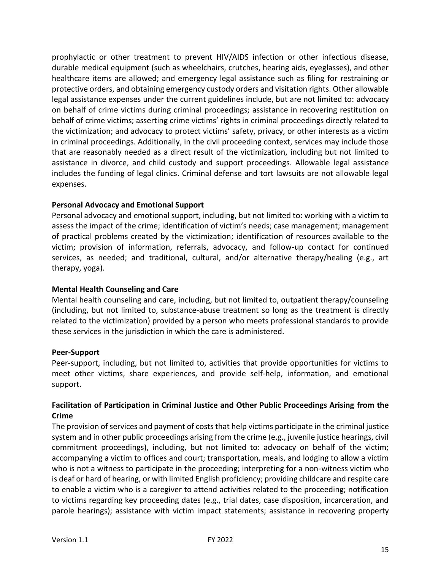prophylactic or other treatment to prevent HIV/AIDS infection or other infectious disease, durable medical equipment (such as wheelchairs, crutches, hearing aids, eyeglasses), and other healthcare items are allowed; and emergency legal assistance such as filing for restraining or protective orders, and obtaining emergency custody orders and visitation rights. Other allowable legal assistance expenses under the current guidelines include, but are not limited to: advocacy on behalf of crime victims during criminal proceedings; assistance in recovering restitution on behalf of crime victims; asserting crime victims' rights in criminal proceedings directly related to the victimization; and advocacy to protect victims' safety, privacy, or other interests as a victim in criminal proceedings. Additionally, in the civil proceeding context, services may include those that are reasonably needed as a direct result of the victimization, including but not limited to assistance in divorce, and child custody and support proceedings. Allowable legal assistance includes the funding of legal clinics. Criminal defense and tort lawsuits are not allowable legal expenses.

### **Personal Advocacy and Emotional Support**

Personal advocacy and emotional support, including, but not limited to: working with a victim to assess the impact of the crime; identification of victim's needs; case management; management of practical problems created by the victimization; identification of resources available to the victim; provision of information, referrals, advocacy, and follow-up contact for continued services, as needed; and traditional, cultural, and/or alternative therapy/healing (e.g., art therapy, yoga).

### **Mental Health Counseling and Care**

Mental health counseling and care, including, but not limited to, outpatient therapy/counseling (including, but not limited to, substance-abuse treatment so long as the treatment is directly related to the victimization) provided by a person who meets professional standards to provide these services in the jurisdiction in which the care is administered.

### **Peer-Support**

Peer-support, including, but not limited to, activities that provide opportunities for victims to meet other victims, share experiences, and provide self-help, information, and emotional support.

### **Facilitation of Participation in Criminal Justice and Other Public Proceedings Arising from the Crime**

The provision of services and payment of costs that help victims participate in the criminal justice system and in other public proceedings arising from the crime (e.g., juvenile justice hearings, civil commitment proceedings), including, but not limited to: advocacy on behalf of the victim; accompanying a victim to offices and court; transportation, meals, and lodging to allow a victim who is not a witness to participate in the proceeding; interpreting for a non-witness victim who is deaf or hard of hearing, or with limited English proficiency; providing childcare and respite care to enable a victim who is a caregiver to attend activities related to the proceeding; notification to victims regarding key proceeding dates (e.g., trial dates, case disposition, incarceration, and parole hearings); assistance with victim impact statements; assistance in recovering property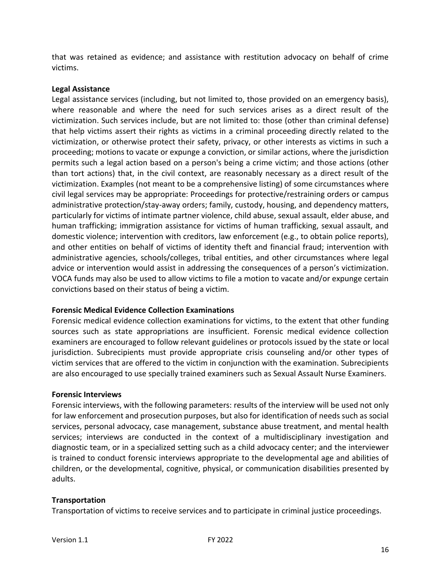that was retained as evidence; and assistance with restitution advocacy on behalf of crime victims.

### **Legal Assistance**

Legal assistance services (including, but not limited to, those provided on an emergency basis), where reasonable and where the need for such services arises as a direct result of the victimization. Such services include, but are not limited to: those (other than criminal defense) that help victims assert their rights as victims in a criminal proceeding directly related to the victimization, or otherwise protect their safety, privacy, or other interests as victims in such a proceeding; motions to vacate or expunge a conviction, or similar actions, where the jurisdiction permits such a legal action based on a person's being a crime victim; and those actions (other than tort actions) that, in the civil context, are reasonably necessary as a direct result of the victimization. Examples (not meant to be a comprehensive listing) of some circumstances where civil legal services may be appropriate: Proceedings for protective/restraining orders or campus administrative protection/stay-away orders; family, custody, housing, and dependency matters, particularly for victims of intimate partner violence, child abuse, sexual assault, elder abuse, and human trafficking; immigration assistance for victims of human trafficking, sexual assault, and domestic violence; intervention with creditors, law enforcement (e.g., to obtain police reports), and other entities on behalf of victims of identity theft and financial fraud; intervention with administrative agencies, schools/colleges, tribal entities, and other circumstances where legal advice or intervention would assist in addressing the consequences of a person's victimization. VOCA funds may also be used to allow victims to file a motion to vacate and/or expunge certain convictions based on their status of being a victim.

### **Forensic Medical Evidence Collection Examinations**

Forensic medical evidence collection examinations for victims, to the extent that other funding sources such as state appropriations are insufficient. Forensic medical evidence collection examiners are encouraged to follow relevant guidelines or protocols issued by the state or local jurisdiction. Subrecipients must provide appropriate crisis counseling and/or other types of victim services that are offered to the victim in conjunction with the examination. Subrecipients are also encouraged to use specially trained examiners such as Sexual Assault Nurse Examiners.

### **Forensic Interviews**

Forensic interviews, with the following parameters: results of the interview will be used not only for law enforcement and prosecution purposes, but also for identification of needs such as social services, personal advocacy, case management, substance abuse treatment, and mental health services; interviews are conducted in the context of a multidisciplinary investigation and diagnostic team, or in a specialized setting such as a child advocacy center; and the interviewer is trained to conduct forensic interviews appropriate to the developmental age and abilities of children, or the developmental, cognitive, physical, or communication disabilities presented by adults.

### **Transportation**

Transportation of victims to receive services and to participate in criminal justice proceedings.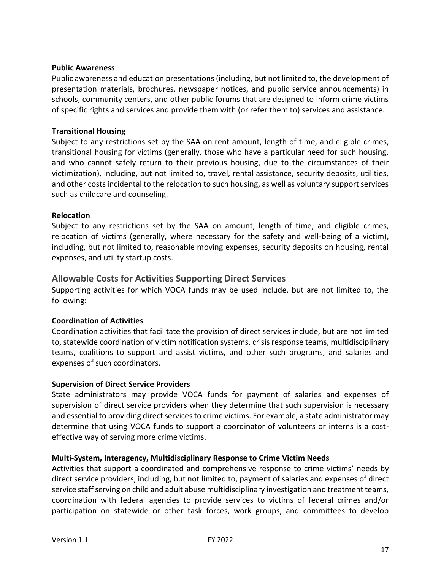### **Public Awareness**

Public awareness and education presentations (including, but not limited to, the development of presentation materials, brochures, newspaper notices, and public service announcements) in schools, community centers, and other public forums that are designed to inform crime victims of specific rights and services and provide them with (or refer them to) services and assistance.

### **Transitional Housing**

Subject to any restrictions set by the SAA on rent amount, length of time, and eligible crimes, transitional housing for victims (generally, those who have a particular need for such housing, and who cannot safely return to their previous housing, due to the circumstances of their victimization), including, but not limited to, travel, rental assistance, security deposits, utilities, and other costs incidental to the relocation to such housing, as well as voluntary support services such as childcare and counseling.

### **Relocation**

Subject to any restrictions set by the SAA on amount, length of time, and eligible crimes, relocation of victims (generally, where necessary for the safety and well-being of a victim), including, but not limited to, reasonable moving expenses, security deposits on housing, rental expenses, and utility startup costs.

### <span id="page-16-0"></span>**Allowable Costs for Activities Supporting Direct Services**

Supporting activities for which VOCA funds may be used include, but are not limited to, the following:

### **Coordination of Activities**

Coordination activities that facilitate the provision of direct services include, but are not limited to, statewide coordination of victim notification systems, crisis response teams, multidisciplinary teams, coalitions to support and assist victims, and other such programs, and salaries and expenses of such coordinators.

### **Supervision of Direct Service Providers**

State administrators may provide VOCA funds for payment of salaries and expenses of supervision of direct service providers when they determine that such supervision is necessary and essential to providing direct services to crime victims. For example, a state administrator may determine that using VOCA funds to support a coordinator of volunteers or interns is a costeffective way of serving more crime victims.

### **Multi-System, Interagency, Multidisciplinary Response to Crime Victim Needs**

Activities that support a coordinated and comprehensive response to crime victims' needs by direct service providers, including, but not limited to, payment of salaries and expenses of direct service staff serving on child and adult abuse multidisciplinary investigation and treatment teams, coordination with federal agencies to provide services to victims of federal crimes and/or participation on statewide or other task forces, work groups, and committees to develop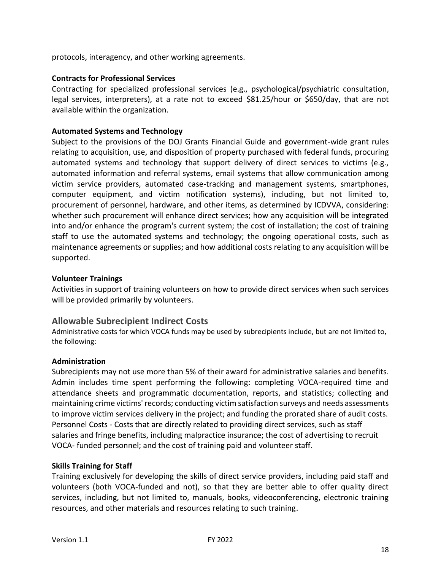protocols, interagency, and other working agreements.

### **Contracts for Professional Services**

Contracting for specialized professional services (e.g., psychological/psychiatric consultation, legal services, interpreters), at a rate not to exceed \$81.25/hour or \$650/day, that are not available within the organization.

### **Automated Systems and Technology**

Subject to the provisions of the DOJ Grants Financial Guide and government-wide grant rules relating to acquisition, use, and disposition of property purchased with federal funds, procuring automated systems and technology that support delivery of direct services to victims (e.g., automated information and referral systems, email systems that allow communication among victim service providers, automated case-tracking and management systems, smartphones, computer equipment, and victim notification systems), including, but not limited to, procurement of personnel, hardware, and other items, as determined by ICDVVA, considering: whether such procurement will enhance direct services; how any acquisition will be integrated into and/or enhance the program's current system; the cost of installation; the cost of training staff to use the automated systems and technology; the ongoing operational costs, such as maintenance agreements or supplies; and how additional costs relating to any acquisition will be supported.

### **Volunteer Trainings**

Activities in support of training volunteers on how to provide direct services when such services will be provided primarily by volunteers.

### <span id="page-17-0"></span>**Allowable Subrecipient Indirect Costs**

Administrative costs for which VOCA funds may be used by subrecipients include, but are not limited to, the following:

### **Administration**

Subrecipients may not use more than 5% of their award for administrative salaries and benefits. Admin includes time spent performing the following: completing VOCA-required time and attendance sheets and programmatic documentation, reports, and statistics; collecting and maintaining crime victims' records; conducting victim satisfaction surveys and needs assessments to improve victim services delivery in the project; and funding the prorated share of audit costs. Personnel Costs - Costs that are directly related to providing direct services, such as staff salaries and fringe benefits, including malpractice insurance; the cost of advertising to recruit VOCA- funded personnel; and the cost of training paid and volunteer staff.

### **Skills Training for Staff**

Training exclusively for developing the skills of direct service providers, including paid staff and volunteers (both VOCA-funded and not), so that they are better able to offer quality direct services, including, but not limited to, manuals, books, videoconferencing, electronic training resources, and other materials and resources relating to such training.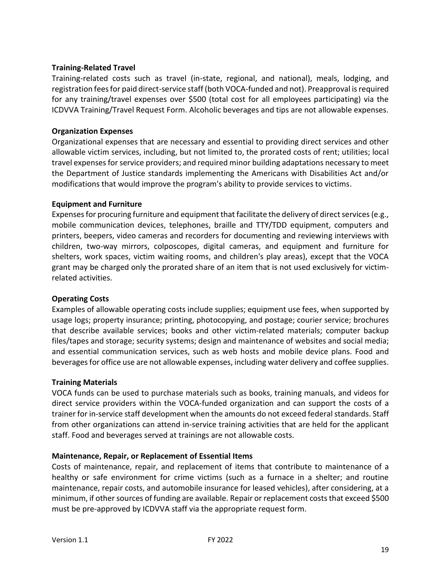### **Training-Related Travel**

Training-related costs such as travel (in-state, regional, and national), meals, lodging, and registration fees for paid direct-service staff (both VOCA-funded and not). Preapproval is required for any training/travel expenses over \$500 (total cost for all employees participating) via the ICDVVA Training/Travel Request Form. Alcoholic beverages and tips are not allowable expenses.

### **Organization Expenses**

Organizational expenses that are necessary and essential to providing direct services and other allowable victim services, including, but not limited to, the prorated costs of rent; utilities; local travel expenses for service providers; and required minor building adaptations necessary to meet the Department of Justice standards implementing the Americans with Disabilities Act and/or modifications that would improve the program's ability to provide services to victims.

### **Equipment and Furniture**

Expensesfor procuring furniture and equipment that facilitate the delivery of direct services (e.g., mobile communication devices, telephones, braille and TTY/TDD equipment, computers and printers, beepers, video cameras and recorders for documenting and reviewing interviews with children, two-way mirrors, colposcopes, digital cameras, and equipment and furniture for shelters, work spaces, victim waiting rooms, and children's play areas), except that the VOCA grant may be charged only the prorated share of an item that is not used exclusively for victimrelated activities.

### **Operating Costs**

Examples of allowable operating costs include supplies; equipment use fees, when supported by usage logs; property insurance; printing, photocopying, and postage; courier service; brochures that describe available services; books and other victim-related materials; computer backup files/tapes and storage; security systems; design and maintenance of websites and social media; and essential communication services, such as web hosts and mobile device plans. Food and beverages for office use are not allowable expenses, including water delivery and coffee supplies.

### **Training Materials**

VOCA funds can be used to purchase materials such as books, training manuals, and videos for direct service providers within the VOCA-funded organization and can support the costs of a trainer for in-service staff development when the amounts do not exceed federal standards. Staff from other organizations can attend in-service training activities that are held for the applicant staff. Food and beverages served at trainings are not allowable costs.

### **Maintenance, Repair, or Replacement of Essential Items**

Costs of maintenance, repair, and replacement of items that contribute to maintenance of a healthy or safe environment for crime victims (such as a furnace in a shelter; and routine maintenance, repair costs, and automobile insurance for leased vehicles), after considering, at a minimum, if other sources of funding are available. Repair or replacement costs that exceed \$500 must be pre-approved by ICDVVA staff via the appropriate request form.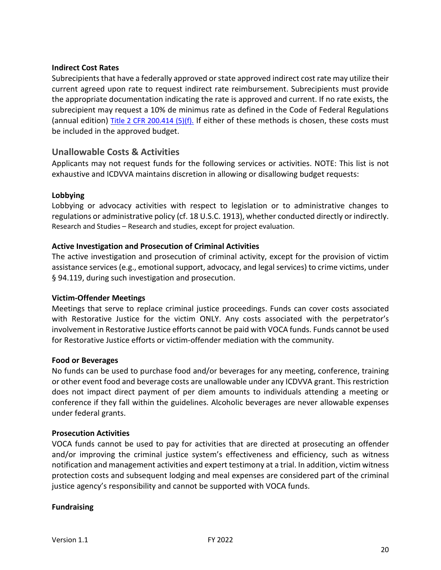### **Indirect Cost Rates**

Subrecipients that have a federally approved or state approved indirect cost rate may utilize their current agreed upon rate to request indirect rate reimbursement. Subrecipients must provide the appropriate documentation indicating the rate is approved and current. If no rate exists, the subrecipient may request a 10% de minimus rate as defined in the Code of Federal Regulations (annual edition) [Title 2 CFR 200.414 \(5\)\(f\).](https://www.law.cornell.edu/cfr/text/2/200.414) If either of these methods is chosen, these costs must be included in the approved budget.

### <span id="page-19-0"></span>**Unallowable Costs & Activities**

Applicants may not request funds for the following services or activities. NOTE: This list is not exhaustive and ICDVVA maintains discretion in allowing or disallowing budget requests:

### **Lobbying**

Lobbying or advocacy activities with respect to legislation or to administrative changes to regulations or administrative policy (cf. 18 U.S.C. 1913), whether conducted directly or indirectly. Research and Studies – Research and studies, except for project evaluation.

### **Active Investigation and Prosecution of Criminal Activities**

The active investigation and prosecution of criminal activity, except for the provision of victim assistance services (e.g., emotional support, advocacy, and legal services) to crime victims, under § 94.119, during such investigation and prosecution.

### **Victim-Offender Meetings**

Meetings that serve to replace criminal justice proceedings. Funds can cover costs associated with Restorative Justice for the victim ONLY. Any costs associated with the perpetrator's involvement in Restorative Justice efforts cannot be paid with VOCA funds. Funds cannot be used for Restorative Justice efforts or victim-offender mediation with the community.

### **Food or Beverages**

No funds can be used to purchase food and/or beverages for any meeting, conference, training or other event food and beverage costs are unallowable under any ICDVVA grant. This restriction does not impact direct payment of per diem amounts to individuals attending a meeting or conference if they fall within the guidelines. Alcoholic beverages are never allowable expenses under federal grants.

### **Prosecution Activities**

VOCA funds cannot be used to pay for activities that are directed at prosecuting an offender and/or improving the criminal justice system's effectiveness and efficiency, such as witness notification and management activities and expert testimony at a trial. In addition, victim witness protection costs and subsequent lodging and meal expenses are considered part of the criminal justice agency's responsibility and cannot be supported with VOCA funds.

### **Fundraising**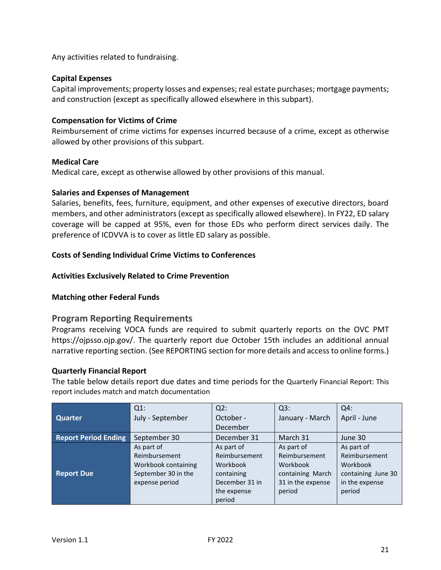Any activities related to fundraising.

### **Capital Expenses**

Capital improvements; property losses and expenses; real estate purchases; mortgage payments; and construction (except as specifically allowed elsewhere in this subpart).

### **Compensation for Victims of Crime**

Reimbursement of crime victims for expenses incurred because of a crime, except as otherwise allowed by other provisions of this subpart.

### **Medical Care**

Medical care, except as otherwise allowed by other provisions of this manual.

### **Salaries and Expenses of Management**

Salaries, benefits, fees, furniture, equipment, and other expenses of executive directors, board members, and other administrators (except as specifically allowed elsewhere). In FY22, ED salary coverage will be capped at 95%, even for those EDs who perform direct services daily. The preference of ICDVVA is to cover as little ED salary as possible.

### **Costs of Sending Individual Crime Victims to Conferences**

### **Activities Exclusively Related to Crime Prevention**

### **Matching other Federal Funds**

### <span id="page-20-0"></span>**Program Reporting Requirements**

Programs receiving VOCA funds are required to submit quarterly reports on the OVC PMT https://ojpsso.ojp.gov/. The quarterly report due October 15th includes an additional annual narrative reporting section. (See REPORTING section for more details and access to online forms.)

### **Quarterly Financial Report**

The table below details report due dates and time periods for the Quarterly Financial Report: This report includes match and match documentation

|                             | $Q1$ :              | $Q2$ :         | Q3:               | $Q4$ :             |
|-----------------------------|---------------------|----------------|-------------------|--------------------|
| <b>Quarter</b>              | July - September    | October -      | January - March   | April - June       |
|                             |                     | December       |                   |                    |
| <b>Report Period Ending</b> | September 30        | December 31    | March 31          | June 30            |
|                             | As part of          | As part of     | As part of        | As part of         |
|                             | Reimbursement       | Reimbursement  | Reimbursement     | Reimbursement      |
|                             | Workbook containing | Workbook       | Workbook          | Workbook           |
| <b>Report Due</b>           | September 30 in the | containing     | containing March  | containing June 30 |
|                             | expense period      | December 31 in | 31 in the expense | in the expense     |
|                             |                     | the expense    | period            | period             |
|                             |                     | period         |                   |                    |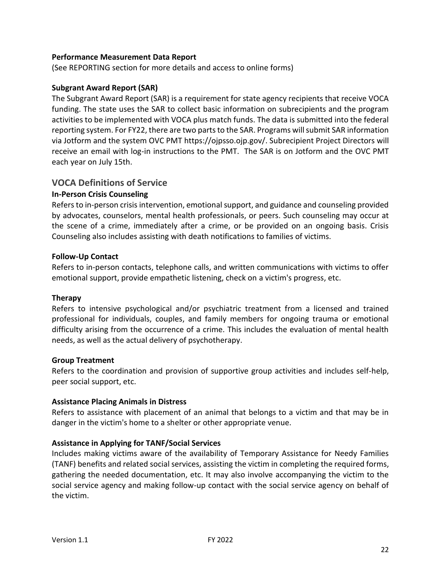### **Performance Measurement Data Report**

(See REPORTING section for more details and access to online forms)

### **Subgrant Award Report (SAR)**

The Subgrant Award Report (SAR) is a requirement for state agency recipients that receive VOCA funding. The state uses the SAR to collect basic information on subrecipients and the program activities to be implemented with VOCA plus match funds. The data is submitted into the federal reporting system. For FY22, there are two parts to the SAR. Programs will submit SAR information via Jotform and the system OVC PMT https://ojpsso.ojp.gov/. Subrecipient Project Directors will receive an email with log-in instructions to the PMT. The SAR is on Jotform and the OVC PMT each year on July 15th.

### <span id="page-21-0"></span>**VOCA Definitions of Service**

### **In-Person Crisis Counseling**

Refers to in-person crisis intervention, emotional support, and guidance and counseling provided by advocates, counselors, mental health professionals, or peers. Such counseling may occur at the scene of a crime, immediately after a crime, or be provided on an ongoing basis. Crisis Counseling also includes assisting with death notifications to families of victims.

### **Follow-Up Contact**

Refers to in-person contacts, telephone calls, and written communications with victims to offer emotional support, provide empathetic listening, check on a victim's progress, etc.

### **Therapy**

Refers to intensive psychological and/or psychiatric treatment from a licensed and trained professional for individuals, couples, and family members for ongoing trauma or emotional difficulty arising from the occurrence of a crime. This includes the evaluation of mental health needs, as well as the actual delivery of psychotherapy.

### **Group Treatment**

Refers to the coordination and provision of supportive group activities and includes self-help, peer social support, etc.

### **Assistance Placing Animals in Distress**

Refers to assistance with placement of an animal that belongs to a victim and that may be in danger in the victim's home to a shelter or other appropriate venue.

### **Assistance in Applying for TANF/Social Services**

Includes making victims aware of the availability of Temporary Assistance for Needy Families (TANF) benefits and related social services, assisting the victim in completing the required forms, gathering the needed documentation, etc. It may also involve accompanying the victim to the social service agency and making follow-up contact with the social service agency on behalf of the victim.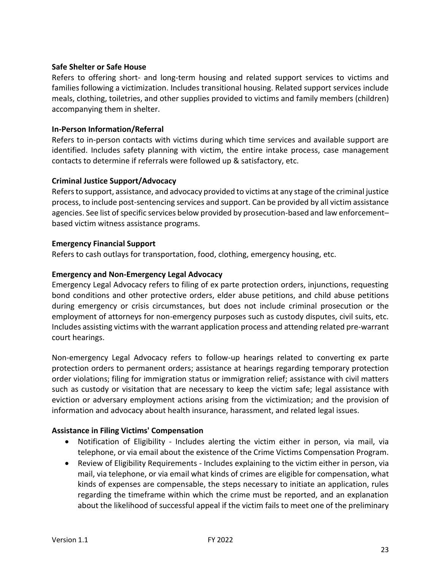### **Safe Shelter or Safe House**

Refers to offering short- and long-term housing and related support services to victims and families following a victimization. Includes transitional housing. Related support services include meals, clothing, toiletries, and other supplies provided to victims and family members (children) accompanying them in shelter.

### **In-Person Information/Referral**

Refers to in-person contacts with victims during which time services and available support are identified. Includes safety planning with victim, the entire intake process, case management contacts to determine if referrals were followed up & satisfactory, etc.

### **Criminal Justice Support/Advocacy**

Refers to support, assistance, and advocacy provided to victims at any stage of the criminal justice process, to include post-sentencing services and support. Can be provided by all victim assistance agencies. See list of specific services below provided by prosecution-based and law enforcement– based victim witness assistance programs.

### **Emergency Financial Support**

Refers to cash outlays for transportation, food, clothing, emergency housing, etc.

### **Emergency and Non-Emergency Legal Advocacy**

Emergency Legal Advocacy refers to filing of ex parte protection orders, injunctions, requesting bond conditions and other protective orders, elder abuse petitions, and child abuse petitions during emergency or crisis circumstances, but does not include criminal prosecution or the employment of attorneys for non-emergency purposes such as custody disputes, civil suits, etc. Includes assisting victims with the warrant application process and attending related pre-warrant court hearings.

Non-emergency Legal Advocacy refers to follow-up hearings related to converting ex parte protection orders to permanent orders; assistance at hearings regarding temporary protection order violations; filing for immigration status or immigration relief; assistance with civil matters such as custody or visitation that are necessary to keep the victim safe; legal assistance with eviction or adversary employment actions arising from the victimization; and the provision of information and advocacy about health insurance, harassment, and related legal issues.

### **Assistance in Filing Victims' Compensation**

- Notification of Eligibility Includes alerting the victim either in person, via mail, via telephone, or via email about the existence of the Crime Victims Compensation Program.
- Review of Eligibility Requirements Includes explaining to the victim either in person, via mail, via telephone, or via email what kinds of crimes are eligible for compensation, what kinds of expenses are compensable, the steps necessary to initiate an application, rules regarding the timeframe within which the crime must be reported, and an explanation about the likelihood of successful appeal if the victim fails to meet one of the preliminary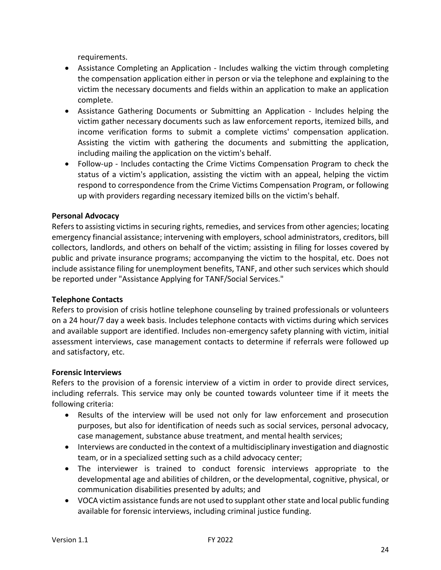requirements.

- Assistance Completing an Application Includes walking the victim through completing the compensation application either in person or via the telephone and explaining to the victim the necessary documents and fields within an application to make an application complete.
- Assistance Gathering Documents or Submitting an Application Includes helping the victim gather necessary documents such as law enforcement reports, itemized bills, and income verification forms to submit a complete victims' compensation application. Assisting the victim with gathering the documents and submitting the application, including mailing the application on the victim's behalf.
- Follow-up Includes contacting the Crime Victims Compensation Program to check the status of a victim's application, assisting the victim with an appeal, helping the victim respond to correspondence from the Crime Victims Compensation Program, or following up with providers regarding necessary itemized bills on the victim's behalf.

### **Personal Advocacy**

Refers to assisting victims in securing rights, remedies, and services from other agencies; locating emergency financial assistance; intervening with employers, school administrators, creditors, bill collectors, landlords, and others on behalf of the victim; assisting in filing for losses covered by public and private insurance programs; accompanying the victim to the hospital, etc. Does not include assistance filing for unemployment benefits, TANF, and other such services which should be reported under "Assistance Applying for TANF/Social Services."

### **Telephone Contacts**

Refers to provision of crisis hotline telephone counseling by trained professionals or volunteers on a 24 hour/7 day a week basis. Includes telephone contacts with victims during which services and available support are identified. Includes non-emergency safety planning with victim, initial assessment interviews, case management contacts to determine if referrals were followed up and satisfactory, etc.

### **Forensic Interviews**

Refers to the provision of a forensic interview of a victim in order to provide direct services, including referrals. This service may only be counted towards volunteer time if it meets the following criteria:

- Results of the interview will be used not only for law enforcement and prosecution purposes, but also for identification of needs such as social services, personal advocacy, case management, substance abuse treatment, and mental health services;
- Interviews are conducted in the context of a multidisciplinary investigation and diagnostic team, or in a specialized setting such as a child advocacy center;
- The interviewer is trained to conduct forensic interviews appropriate to the developmental age and abilities of children, or the developmental, cognitive, physical, or communication disabilities presented by adults; and
- VOCA victim assistance funds are not used to supplant other state and local public funding available for forensic interviews, including criminal justice funding.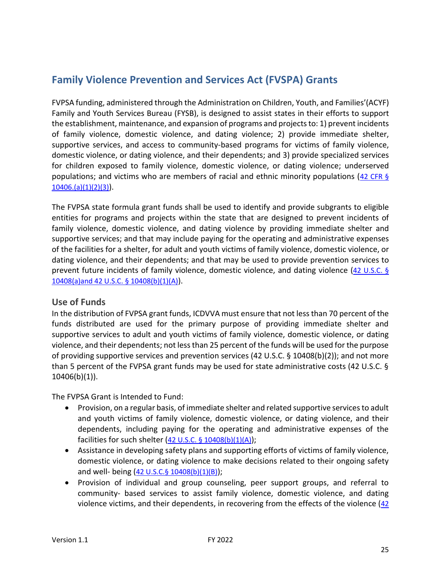# <span id="page-24-0"></span>**Family Violence Prevention and Services Act (FVSPA) Grants**

FVPSA funding, administered through the Administration on Children, Youth, and Families'(ACYF) Family and Youth Services Bureau (FYSB), is designed to assist states in their efforts to support the establishment, maintenance, and expansion of programs and projects to: 1) prevent incidents of family violence, domestic violence, and dating violence; 2) provide immediate shelter, supportive services, and access to community-based programs for victims of family violence, domestic violence, or dating violence, and their dependents; and 3) provide specialized services for children exposed to family violence, domestic violence, or dating violence; underserved populations; and victims who are members of racial and ethnic minority populations ([42 CFR §](https://www.law.cornell.edu/uscode/text/42/10406)   $10406.(a)(1)(2)(3)$ ).

The FVPSA state formula grant funds shall be used to identify and provide subgrants to eligible entities for programs and projects within the state that are designed to prevent incidents of family violence, domestic violence, and dating violence by providing immediate shelter and supportive services; and that may include paying for the operating and administrative expenses of the facilities for a shelter, for adult and youth victims of family violence, domestic violence, or dating violence, and their dependents; and that may be used to provide prevention services to prevent future incidents of family violence, domestic violence, and dating violence (42 U.S.C. § [10408\(a\)and 42 U.S.C. § 10408\(b\)\(1\)\(A\)](https://www.law.cornell.edu/uscode/text/42/10408)).

### <span id="page-24-1"></span>**Use of Funds**

In the distribution of FVPSA grant funds, ICDVVA must ensure that not less than 70 percent of the funds distributed are used for the primary purpose of providing immediate shelter and supportive services to adult and youth victims of family violence, domestic violence, or dating violence, and their dependents; not less than 25 percent of the funds will be used for the purpose of providing supportive services and prevention services (42 U.S.C. § 10408(b)(2)); and not more than 5 percent of the FVPSA grant funds may be used for state administrative costs (42 U.S.C. §  $10406(b)(1)$ ).

The FVPSA Grant is Intended to Fund:

- Provision, on a regular basis, of immediate shelter and related supportive services to adult and youth victims of family violence, domestic violence, or dating violence, and their dependents, including paying for the operating and administrative expenses of the facilities for such shelter  $(42 \text{ U.S.C. } § 10408(b)(1)(A));$  $(42 \text{ U.S.C. } § 10408(b)(1)(A));$  $(42 \text{ U.S.C. } § 10408(b)(1)(A));$
- Assistance in developing safety plans and supporting efforts of victims of family violence, domestic violence, or dating violence to make decisions related to their ongoing safety and well- being ([42 U.S.C.§ 10408\(b\)\(1\)\(B\)](https://www.law.cornell.edu/uscode/text/42/10408));
- Provision of individual and group counseling, peer support groups, and referral to community- based services to assist family violence, domestic violence, and dating violence victims, and their dependents, in recovering from the effects of the violence  $(42)$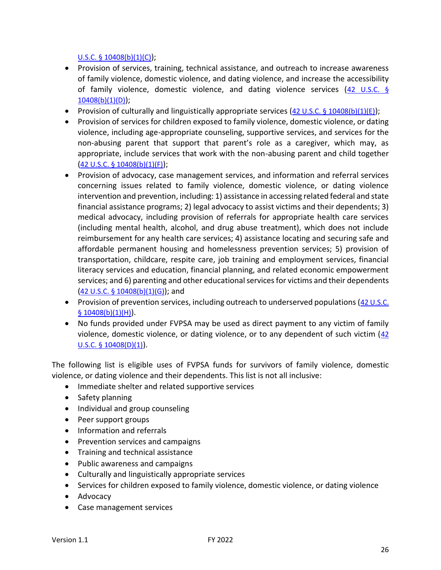### [U.S.C. § 10408\(b\)\(1\)\(C\)](https://www.law.cornell.edu/uscode/text/42/10408));

- Provision of services, training, technical assistance, and outreach to increase awareness of family violence, domestic violence, and dating violence, and increase the accessibility of family violence, domestic violence, and dating violence services  $(42 \text{ U.S.C. } \frac{6}{3})$ [10408\(b\)\(1\)\(D\)](https://www.law.cornell.edu/uscode/text/42/10408));
- Provision of culturally and linguistically appropriate services  $(42 \text{ U.S.C. } \frac{6}{5} \cdot 10408(b)(1)(E));$
- Provision of services for children exposed to family violence, domestic violence, or dating violence, including age-appropriate counseling, supportive services, and services for the non-abusing parent that support that parent's role as a caregiver, which may, as appropriate, include services that work with the non-abusing parent and child together ([42 U.S.C. § 10408\(b\)\(1\)\(F\)](https://www.law.cornell.edu/uscode/text/42/10408));
- Provision of advocacy, case management services, and information and referral services concerning issues related to family violence, domestic violence, or dating violence intervention and prevention, including: 1) assistance in accessing related federal and state financial assistance programs; 2) legal advocacy to assist victims and their dependents; 3) medical advocacy, including provision of referrals for appropriate health care services (including mental health, alcohol, and drug abuse treatment), which does not include reimbursement for any health care services; 4) assistance locating and securing safe and affordable permanent housing and homelessness prevention services; 5) provision of transportation, childcare, respite care, job training and employment services, financial literacy services and education, financial planning, and related economic empowerment services; and 6) parenting and other educational services for victims and their dependents  $(42 \text{ U.S.C. } 6 \text{ 10408(b)(1)(G)});$  and
- Provision of prevention services, including outreach to underserved populations (42 U.S.C.  $$10408(b)(1)(H)).$
- No funds provided under FVPSA may be used as direct payment to any victim of family violence, domestic violence, or dating violence, or to any dependent of such victim ([42](https://www.law.cornell.edu/uscode/text/42/10408)  [U.S.C. § 10408\(D\)\(1\)](https://www.law.cornell.edu/uscode/text/42/10408)).

The following list is eligible uses of FVPSA funds for survivors of family violence, domestic violence, or dating violence and their dependents. This list is not all inclusive:

- Immediate shelter and related supportive services
- Safety planning
- Individual and group counseling
- Peer support groups
- Information and referrals
- Prevention services and campaigns
- Training and technical assistance
- Public awareness and campaigns
- Culturally and linguistically appropriate services
- Services for children exposed to family violence, domestic violence, or dating violence
- Advocacy
- Case management services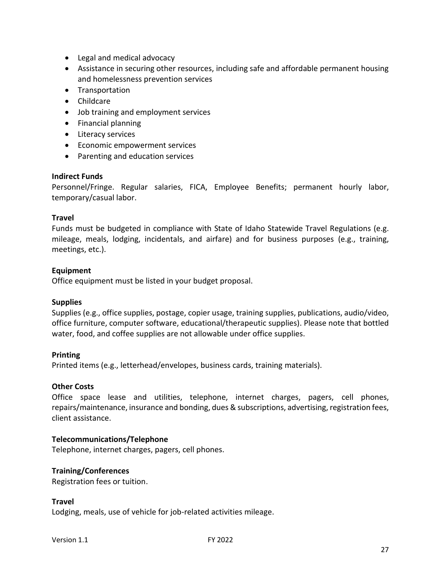- Legal and medical advocacy
- Assistance in securing other resources, including safe and affordable permanent housing and homelessness prevention services
- Transportation
- Childcare
- Job training and employment services
- Financial planning
- Literacy services
- Economic empowerment services
- Parenting and education services

### **Indirect Funds**

Personnel/Fringe. Regular salaries, FICA, Employee Benefits; permanent hourly labor, temporary/casual labor.

### **Travel**

Funds must be budgeted in compliance with State of Idaho Statewide Travel Regulations (e.g. mileage, meals, lodging, incidentals, and airfare) and for business purposes (e.g., training, meetings, etc.).

### **Equipment**

Office equipment must be listed in your budget proposal.

### **Supplies**

Supplies (e.g., office supplies, postage, copier usage, training supplies, publications, audio/video, office furniture, computer software, educational/therapeutic supplies). Please note that bottled water, food, and coffee supplies are not allowable under office supplies.

### **Printing**

Printed items (e.g., letterhead/envelopes, business cards, training materials).

### **Other Costs**

Office space lease and utilities, telephone, internet charges, pagers, cell phones, repairs/maintenance, insurance and bonding, dues & subscriptions, advertising, registration fees, client assistance.

### **Telecommunications/Telephone**

Telephone, internet charges, pagers, cell phones.

### **Training/Conferences**

Registration fees or tuition.

### **Travel**

Lodging, meals, use of vehicle for job-related activities mileage.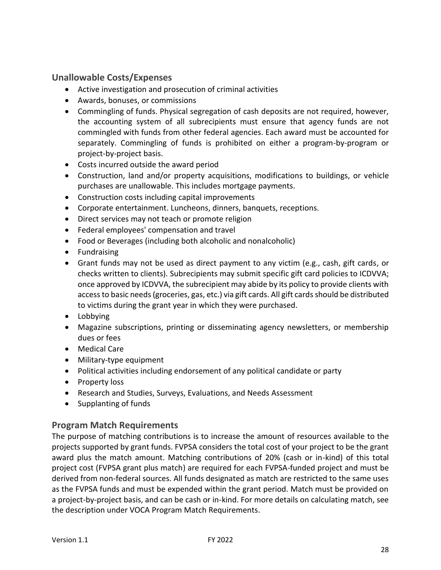# <span id="page-27-0"></span>**Unallowable Costs/Expenses**

- Active investigation and prosecution of criminal activities
- Awards, bonuses, or commissions
- Commingling of funds. Physical segregation of cash deposits are not required, however, the accounting system of all subrecipients must ensure that agency funds are not commingled with funds from other federal agencies. Each award must be accounted for separately. Commingling of funds is prohibited on either a program-by-program or project-by-project basis.
- Costs incurred outside the award period
- Construction, land and/or property acquisitions, modifications to buildings, or vehicle purchases are unallowable. This includes mortgage payments.
- Construction costs including capital improvements
- Corporate entertainment. Luncheons, dinners, banquets, receptions.
- Direct services may not teach or promote religion
- Federal employees' compensation and travel
- Food or Beverages (including both alcoholic and nonalcoholic)
- Fundraising
- Grant funds may not be used as direct payment to any victim (e.g., cash, gift cards, or checks written to clients). Subrecipients may submit specific gift card policies to ICDVVA; once approved by ICDVVA, the subrecipient may abide by its policy to provide clients with access to basic needs (groceries, gas, etc.) via gift cards. All gift cards should be distributed to victims during the grant year in which they were purchased.
- Lobbying
- Magazine subscriptions, printing or disseminating agency newsletters, or membership dues or fees
- Medical Care
- Military-type equipment
- Political activities including endorsement of any political candidate or party
- Property loss
- Research and Studies, Surveys, Evaluations, and Needs Assessment
- Supplanting of funds

# <span id="page-27-1"></span>**Program Match Requirements**

The purpose of matching contributions is to increase the amount of resources available to the projects supported by grant funds. FVPSA considers the total cost of your project to be the grant award plus the match amount. Matching contributions of 20% (cash or in-kind) of this total project cost (FVPSA grant plus match) are required for each FVPSA-funded project and must be derived from non-federal sources. All funds designated as match are restricted to the same uses as the FVPSA funds and must be expended within the grant period. Match must be provided on a project-by-project basis, and can be cash or in-kind. For more details on calculating match, see the description under VOCA Program Match Requirements.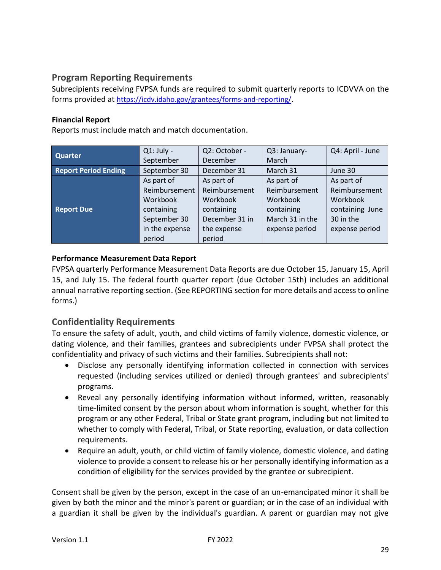# <span id="page-28-0"></span>**Program Reporting Requirements**

Subrecipients receiving FVPSA funds are required to submit quarterly reports to ICDVVA on the forms provided at <https://icdv.idaho.gov/grantees/forms-and-reporting/>.

### **Financial Report**

Reports must include match and match documentation.

|                             | $Q1:$ July -   | Q2: October -  | Q3: January-    | Q4: April - June |
|-----------------------------|----------------|----------------|-----------------|------------------|
| <b>Quarter</b>              | September      | December       | March           |                  |
| <b>Report Period Ending</b> | September 30   | December 31    | March 31        | June 30          |
|                             | As part of     | As part of     | As part of      | As part of       |
|                             | Reimbursement  | Reimbursement  | Reimbursement   | Reimbursement    |
|                             | Workbook       | Workbook       | Workbook        | Workbook         |
| <b>Report Due</b>           | containing     | containing     | containing      | containing June  |
|                             | September 30   | December 31 in | March 31 in the | 30 in the        |
|                             | in the expense | the expense    | expense period  | expense period   |
|                             | period         | period         |                 |                  |

### **Performance Measurement Data Report**

FVPSA quarterly Performance Measurement Data Reports are due October 15, January 15, April 15, and July 15. The federal fourth quarter report (due October 15th) includes an additional annual narrative reporting section. (See REPORTING section for more details and access to online forms.)

### <span id="page-28-1"></span>**Confidentiality Requirements**

To ensure the safety of adult, youth, and child victims of family violence, domestic violence, or dating violence, and their families, grantees and subrecipients under FVPSA shall protect the confidentiality and privacy of such victims and their families. Subrecipients shall not:

- Disclose any personally identifying information collected in connection with services requested (including services utilized or denied) through grantees' and subrecipients' programs.
- Reveal any personally identifying information without informed, written, reasonably time-limited consent by the person about whom information is sought, whether for this program or any other Federal, Tribal or State grant program, including but not limited to whether to comply with Federal, Tribal, or State reporting, evaluation, or data collection requirements.
- Require an adult, youth, or child victim of family violence, domestic violence, and dating violence to provide a consent to release his or her personally identifying information as a condition of eligibility for the services provided by the grantee or subrecipient.

Consent shall be given by the person, except in the case of an un-emancipated minor it shall be given by both the minor and the minor's parent or guardian; or in the case of an individual with a guardian it shall be given by the individual's guardian. A parent or guardian may not give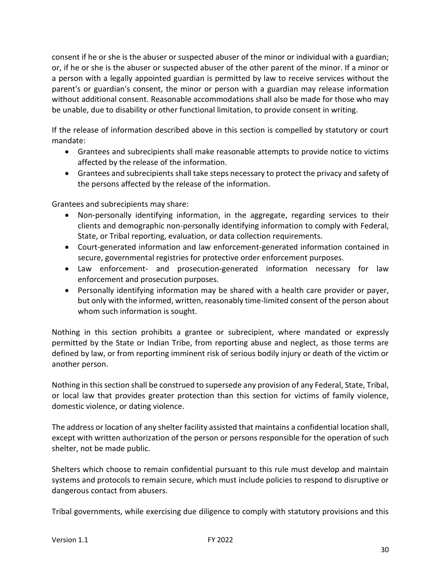consent if he or she is the abuser or suspected abuser of the minor or individual with a guardian; or, if he or she is the abuser or suspected abuser of the other parent of the minor. If a minor or a person with a legally appointed guardian is permitted by law to receive services without the parent's or guardian's consent, the minor or person with a guardian may release information without additional consent. Reasonable accommodations shall also be made for those who may be unable, due to disability or other functional limitation, to provide consent in writing.

If the release of information described above in this section is compelled by statutory or court mandate:

- Grantees and subrecipients shall make reasonable attempts to provide notice to victims affected by the release of the information.
- Grantees and subrecipients shall take steps necessary to protect the privacy and safety of the persons affected by the release of the information.

Grantees and subrecipients may share:

- Non-personally identifying information, in the aggregate, regarding services to their clients and demographic non-personally identifying information to comply with Federal, State, or Tribal reporting, evaluation, or data collection requirements.
- Court-generated information and law enforcement-generated information contained in secure, governmental registries for protective order enforcement purposes.
- Law enforcement- and prosecution-generated information necessary for law enforcement and prosecution purposes.
- Personally identifying information may be shared with a health care provider or payer, but only with the informed, written, reasonably time-limited consent of the person about whom such information is sought.

Nothing in this section prohibits a grantee or subrecipient, where mandated or expressly permitted by the State or Indian Tribe, from reporting abuse and neglect, as those terms are defined by law, or from reporting imminent risk of serious bodily injury or death of the victim or another person.

Nothing in this section shall be construed to supersede any provision of any Federal, State, Tribal, or local law that provides greater protection than this section for victims of family violence, domestic violence, or dating violence.

The address or location of any shelter facility assisted that maintains a confidential location shall, except with written authorization of the person or persons responsible for the operation of such shelter, not be made public.

Shelters which choose to remain confidential pursuant to this rule must develop and maintain systems and protocols to remain secure, which must include policies to respond to disruptive or dangerous contact from abusers.

Tribal governments, while exercising due diligence to comply with statutory provisions and this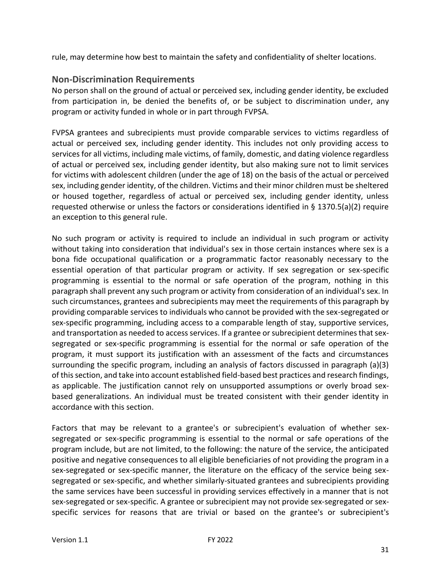rule, may determine how best to maintain the safety and confidentiality of shelter locations.

# <span id="page-30-0"></span>**Non-Discrimination Requirements**

No person shall on the ground of actual or perceived sex, including gender identity, be excluded from participation in, be denied the benefits of, or be subject to discrimination under, any program or activity funded in whole or in part through FVPSA.

FVPSA grantees and subrecipients must provide comparable services to victims regardless of actual or perceived sex, including gender identity. This includes not only providing access to services for all victims, including male victims, of family, domestic, and dating violence regardless of actual or perceived sex, including gender identity, but also making sure not to limit services for victims with adolescent children (under the age of 18) on the basis of the actual or perceived sex, including gender identity, of the children. Victims and their minor children must be sheltered or housed together, regardless of actual or perceived sex, including gender identity, unless requested otherwise or unless the factors or considerations identified in § 1370.5(a)(2) require an exception to this general rule.

No such program or activity is required to include an individual in such program or activity without taking into consideration that individual's sex in those certain instances where sex is a bona fide occupational qualification or a programmatic factor reasonably necessary to the essential operation of that particular program or activity. If sex segregation or sex-specific programming is essential to the normal or safe operation of the program, nothing in this paragraph shall prevent any such program or activity from consideration of an individual's sex. In such circumstances, grantees and subrecipients may meet the requirements of this paragraph by providing comparable services to individuals who cannot be provided with the sex-segregated or sex-specific programming, including access to a comparable length of stay, supportive services, and transportation as needed to access services. If a grantee or subrecipient determines that sexsegregated or sex-specific programming is essential for the normal or safe operation of the program, it must support its justification with an assessment of the facts and circumstances surrounding the specific program, including an analysis of factors discussed in paragraph (a)(3) of this section, and take into account established field-based best practices and research findings, as applicable. The justification cannot rely on unsupported assumptions or overly broad sexbased generalizations. An individual must be treated consistent with their gender identity in accordance with this section.

Factors that may be relevant to a grantee's or subrecipient's evaluation of whether sexsegregated or sex-specific programming is essential to the normal or safe operations of the program include, but are not limited, to the following: the nature of the service, the anticipated positive and negative consequences to all eligible beneficiaries of not providing the program in a sex-segregated or sex-specific manner, the literature on the efficacy of the service being sexsegregated or sex-specific, and whether similarly-situated grantees and subrecipients providing the same services have been successful in providing services effectively in a manner that is not sex-segregated or sex-specific. A grantee or subrecipient may not provide sex-segregated or sexspecific services for reasons that are trivial or based on the grantee's or subrecipient's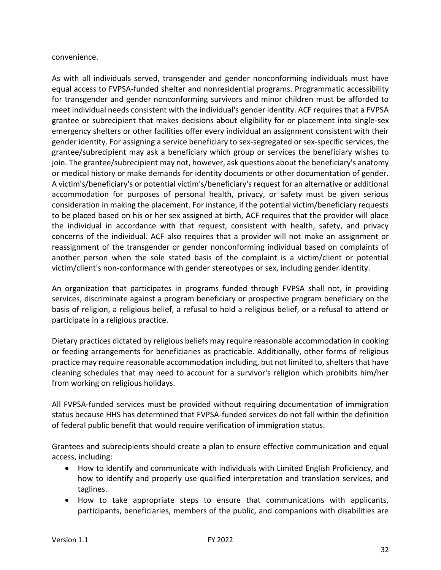convenience.

As with all individuals served, transgender and gender nonconforming individuals must have equal access to FVPSA-funded shelter and nonresidential programs. Programmatic accessibility for transgender and gender nonconforming survivors and minor children must be afforded to meet individual needs consistent with the individual's gender identity. ACF requires that a FVPSA grantee or subrecipient that makes decisions about eligibility for or placement into single-sex emergency shelters or other facilities offer every individual an assignment consistent with their gender identity. For assigning a service beneficiary to sex-segregated or sex-specific services, the grantee/subrecipient may ask a beneficiary which group or services the beneficiary wishes to join. The grantee/subrecipient may not, however, ask questions about the beneficiary's anatomy or medical history or make demands for identity documents or other documentation of gender. A victim's/beneficiary's or potential victim's/beneficiary's request for an alternative or additional accommodation for purposes of personal health, privacy, or safety must be given serious consideration in making the placement. For instance, if the potential victim/beneficiary requests to be placed based on his or her sex assigned at birth, ACF requires that the provider will place the individual in accordance with that request, consistent with health, safety, and privacy concerns of the individual. ACF also requires that a provider will not make an assignment or reassignment of the transgender or gender nonconforming individual based on complaints of another person when the sole stated basis of the complaint is a victim/client or potential victim/client's non-conformance with gender stereotypes or sex, including gender identity.

An organization that participates in programs funded through FVPSA shall not, in providing services, discriminate against a program beneficiary or prospective program beneficiary on the basis of religion, a religious belief, a refusal to hold a religious belief, or a refusal to attend or participate in a religious practice.

Dietary practices dictated by religious beliefs may require reasonable accommodation in cooking or feeding arrangements for beneficiaries as practicable. Additionally, other forms of religious practice may require reasonable accommodation including, but not limited to, shelters that have cleaning schedules that may need to account for a survivor's religion which prohibits him/her from working on religious holidays.

All FVPSA-funded services must be provided without requiring documentation of immigration status because HHS has determined that FVPSA-funded services do not fall within the definition of federal public benefit that would require verification of immigration status.

Grantees and subrecipients should create a plan to ensure effective communication and equal access, including:

- How to identify and communicate with individuals with Limited English Proficiency, and how to identify and properly use qualified interpretation and translation services, and taglines.
- How to take appropriate steps to ensure that communications with applicants, participants, beneficiaries, members of the public, and companions with disabilities are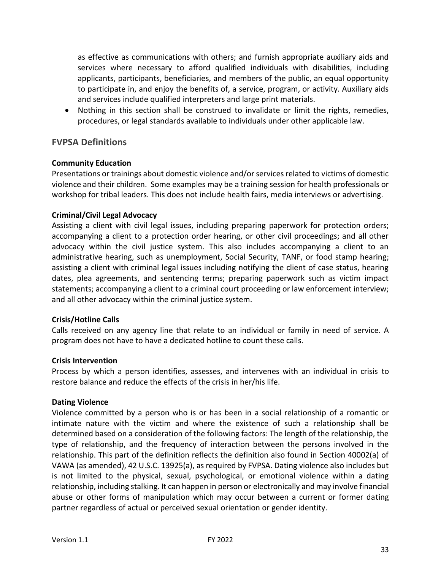as effective as communications with others; and furnish appropriate auxiliary aids and services where necessary to afford qualified individuals with disabilities, including applicants, participants, beneficiaries, and members of the public, an equal opportunity to participate in, and enjoy the benefits of, a service, program, or activity. Auxiliary aids and services include qualified interpreters and large print materials.

• Nothing in this section shall be construed to invalidate or limit the rights, remedies, procedures, or legal standards available to individuals under other applicable law.

### <span id="page-32-0"></span>**FVPSA Definitions**

### **Community Education**

Presentations or trainings about domestic violence and/or services related to victims of domestic violence and their children. Some examples may be a training session for health professionals or workshop for tribal leaders. This does not include health fairs, media interviews or advertising.

### **Criminal/Civil Legal Advocacy**

Assisting a client with civil legal issues, including preparing paperwork for protection orders; accompanying a client to a protection order hearing, or other civil proceedings; and all other advocacy within the civil justice system. This also includes accompanying a client to an administrative hearing, such as unemployment, Social Security, TANF, or food stamp hearing; assisting a client with criminal legal issues including notifying the client of case status, hearing dates, plea agreements, and sentencing terms; preparing paperwork such as victim impact statements; accompanying a client to a criminal court proceeding or law enforcement interview; and all other advocacy within the criminal justice system.

### **Crisis/Hotline Calls**

Calls received on any agency line that relate to an individual or family in need of service. A program does not have to have a dedicated hotline to count these calls.

### **Crisis Intervention**

Process by which a person identifies, assesses, and intervenes with an individual in crisis to restore balance and reduce the effects of the crisis in her/his life.

### **Dating Violence**

Violence committed by a person who is or has been in a social relationship of a romantic or intimate nature with the victim and where the existence of such a relationship shall be determined based on a consideration of the following factors: The length of the relationship, the type of relationship, and the frequency of interaction between the persons involved in the relationship. This part of the definition reflects the definition also found in Section 40002(a) of VAWA (as amended), 42 U.S.C. 13925(a), as required by FVPSA. Dating violence also includes but is not limited to the physical, sexual, psychological, or emotional violence within a dating relationship, including stalking. It can happen in person or electronically and may involve financial abuse or other forms of manipulation which may occur between a current or former dating partner regardless of actual or perceived sexual orientation or gender identity.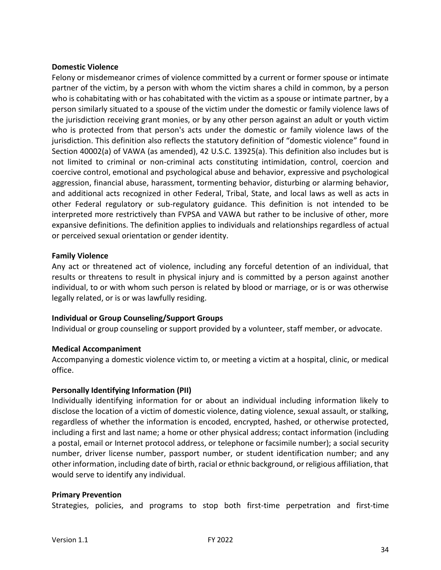### **Domestic Violence**

Felony or misdemeanor crimes of violence committed by a current or former spouse or intimate partner of the victim, by a person with whom the victim shares a child in common, by a person who is cohabitating with or has cohabitated with the victim as a spouse or intimate partner, by a person similarly situated to a spouse of the victim under the domestic or family violence laws of the jurisdiction receiving grant monies, or by any other person against an adult or youth victim who is protected from that person's acts under the domestic or family violence laws of the jurisdiction. This definition also reflects the statutory definition of "domestic violence" found in Section 40002(a) of VAWA (as amended), 42 U.S.C. 13925(a). This definition also includes but is not limited to criminal or non-criminal acts constituting intimidation, control, coercion and coercive control, emotional and psychological abuse and behavior, expressive and psychological aggression, financial abuse, harassment, tormenting behavior, disturbing or alarming behavior, and additional acts recognized in other Federal, Tribal, State, and local laws as well as acts in other Federal regulatory or sub-regulatory guidance. This definition is not intended to be interpreted more restrictively than FVPSA and VAWA but rather to be inclusive of other, more expansive definitions. The definition applies to individuals and relationships regardless of actual or perceived sexual orientation or gender identity.

### **Family Violence**

Any act or threatened act of violence, including any forceful detention of an individual, that results or threatens to result in physical injury and is committed by a person against another individual, to or with whom such person is related by blood or marriage, or is or was otherwise legally related, or is or was lawfully residing.

### **Individual or Group Counseling/Support Groups**

Individual or group counseling or support provided by a volunteer, staff member, or advocate.

### **Medical Accompaniment**

Accompanying a domestic violence victim to, or meeting a victim at a hospital, clinic, or medical office.

### **Personally Identifying Information (PII)**

Individually identifying information for or about an individual including information likely to disclose the location of a victim of domestic violence, dating violence, sexual assault, or stalking, regardless of whether the information is encoded, encrypted, hashed, or otherwise protected, including a first and last name; a home or other physical address; contact information (including a postal, email or Internet protocol address, or telephone or facsimile number); a social security number, driver license number, passport number, or student identification number; and any other information, including date of birth, racial or ethnic background, or religious affiliation, that would serve to identify any individual.

### **Primary Prevention**

Strategies, policies, and programs to stop both first-time perpetration and first-time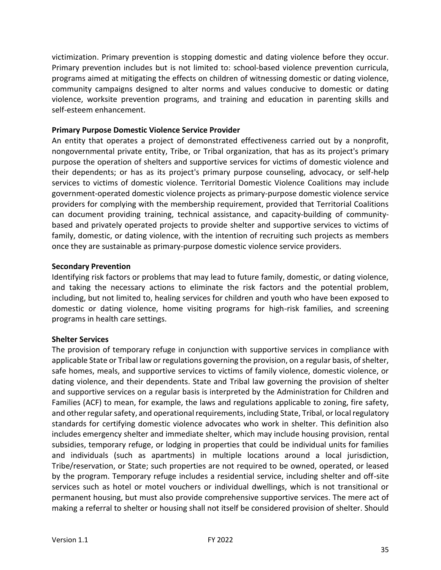victimization. Primary prevention is stopping domestic and dating violence before they occur. Primary prevention includes but is not limited to: school-based violence prevention curricula, programs aimed at mitigating the effects on children of witnessing domestic or dating violence, community campaigns designed to alter norms and values conducive to domestic or dating violence, worksite prevention programs, and training and education in parenting skills and self-esteem enhancement.

### **Primary Purpose Domestic Violence Service Provider**

An entity that operates a project of demonstrated effectiveness carried out by a nonprofit, nongovernmental private entity, Tribe, or Tribal organization, that has as its project's primary purpose the operation of shelters and supportive services for victims of domestic violence and their dependents; or has as its project's primary purpose counseling, advocacy, or self-help services to victims of domestic violence. Territorial Domestic Violence Coalitions may include government-operated domestic violence projects as primary-purpose domestic violence service providers for complying with the membership requirement, provided that Territorial Coalitions can document providing training, technical assistance, and capacity-building of communitybased and privately operated projects to provide shelter and supportive services to victims of family, domestic, or dating violence, with the intention of recruiting such projects as members once they are sustainable as primary-purpose domestic violence service providers.

### **Secondary Prevention**

Identifying risk factors or problems that may lead to future family, domestic, or dating violence, and taking the necessary actions to eliminate the risk factors and the potential problem, including, but not limited to, healing services for children and youth who have been exposed to domestic or dating violence, home visiting programs for high-risk families, and screening programs in health care settings.

### **Shelter Services**

The provision of temporary refuge in conjunction with supportive services in compliance with applicable State or Tribal law or regulations governing the provision, on a regular basis, of shelter, safe homes, meals, and supportive services to victims of family violence, domestic violence, or dating violence, and their dependents. State and Tribal law governing the provision of shelter and supportive services on a regular basis is interpreted by the Administration for Children and Families (ACF) to mean, for example, the laws and regulations applicable to zoning, fire safety, and other regular safety, and operational requirements, including State, Tribal, or local regulatory standards for certifying domestic violence advocates who work in shelter. This definition also includes emergency shelter and immediate shelter, which may include housing provision, rental subsidies, temporary refuge, or lodging in properties that could be individual units for families and individuals (such as apartments) in multiple locations around a local jurisdiction, Tribe/reservation, or State; such properties are not required to be owned, operated, or leased by the program. Temporary refuge includes a residential service, including shelter and off-site services such as hotel or motel vouchers or individual dwellings, which is not transitional or permanent housing, but must also provide comprehensive supportive services. The mere act of making a referral to shelter or housing shall not itself be considered provision of shelter. Should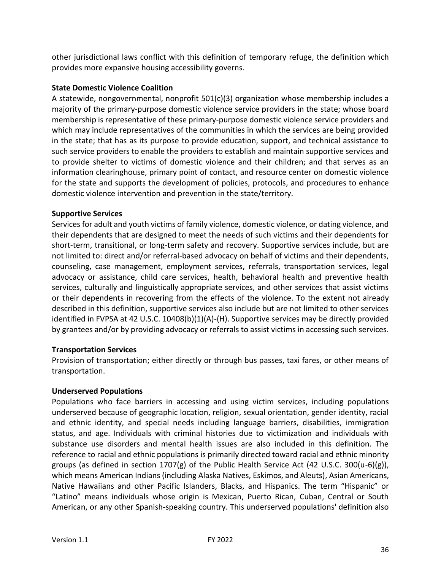other jurisdictional laws conflict with this definition of temporary refuge, the definition which provides more expansive housing accessibility governs.

### **State Domestic Violence Coalition**

A statewide, nongovernmental, nonprofit 501(c)(3) organization whose membership includes a majority of the primary-purpose domestic violence service providers in the state; whose board membership is representative of these primary-purpose domestic violence service providers and which may include representatives of the communities in which the services are being provided in the state; that has as its purpose to provide education, support, and technical assistance to such service providers to enable the providers to establish and maintain supportive services and to provide shelter to victims of domestic violence and their children; and that serves as an information clearinghouse, primary point of contact, and resource center on domestic violence for the state and supports the development of policies, protocols, and procedures to enhance domestic violence intervention and prevention in the state/territory.

### **Supportive Services**

Services for adult and youth victims of family violence, domestic violence, or dating violence, and their dependents that are designed to meet the needs of such victims and their dependents for short-term, transitional, or long-term safety and recovery. Supportive services include, but are not limited to: direct and/or referral-based advocacy on behalf of victims and their dependents, counseling, case management, employment services, referrals, transportation services, legal advocacy or assistance, child care services, health, behavioral health and preventive health services, culturally and linguistically appropriate services, and other services that assist victims or their dependents in recovering from the effects of the violence. To the extent not already described in this definition, supportive services also include but are not limited to other services identified in FVPSA at 42 U.S.C. 10408(b)(1)(A)-(H). Supportive services may be directly provided by grantees and/or by providing advocacy or referrals to assist victims in accessing such services.

### **Transportation Services**

Provision of transportation; either directly or through bus passes, taxi fares, or other means of transportation.

### **Underserved Populations**

Populations who face barriers in accessing and using victim services, including populations underserved because of geographic location, religion, sexual orientation, gender identity, racial and ethnic identity, and special needs including language barriers, disabilities, immigration status, and age. Individuals with criminal histories due to victimization and individuals with substance use disorders and mental health issues are also included in this definition. The reference to racial and ethnic populations is primarily directed toward racial and ethnic minority groups (as defined in section 1707(g) of the Public Health Service Act (42 U.S.C. 300(u-6)(g)), which means American Indians (including Alaska Natives, Eskimos, and Aleuts), Asian Americans, Native Hawaiians and other Pacific Islanders, Blacks, and Hispanics. The term "Hispanic" or "Latino" means individuals whose origin is Mexican, Puerto Rican, Cuban, Central or South American, or any other Spanish-speaking country. This underserved populations' definition also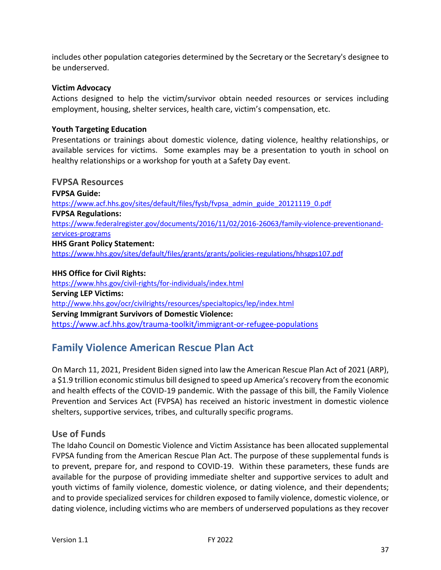includes other population categories determined by the Secretary or the Secretary's designee to be underserved.

### **Victim Advocacy**

Actions designed to help the victim/survivor obtain needed resources or services including employment, housing, shelter services, health care, victim's compensation, etc.

### **Youth Targeting Education**

Presentations or trainings about domestic violence, dating violence, healthy relationships, or available services for victims. Some examples may be a presentation to youth in school on healthy relationships or a workshop for youth at a Safety Day event.

### <span id="page-36-0"></span>**FVPSA Resources**

**FVPSA Guide:** [https://www.acf.hhs.gov/sites/default/files/fysb/fvpsa\\_admin\\_guide\\_20121119\\_0.pdf](https://www.acf.hhs.gov/sites/default/files/fysb/fvpsa_admin_guide_20121119_0.pdf) **FVPSA Regulations:**  [https://www.federalregister.gov/documents/2016/11/02/2016-26063/family-violence-preventionand](https://www.federalregister.gov/documents/2016/11/02/2016-26063/family-violence-preventionand-services-programs)[services-programs](https://www.federalregister.gov/documents/2016/11/02/2016-26063/family-violence-preventionand-services-programs) **HHS Grant Policy Statement:**  <https://www.hhs.gov/sites/default/files/grants/grants/policies-regulations/hhsgps107.pdf>

**HHS Office for Civil Rights:**  <https://www.hhs.gov/civil-rights/for-individuals/index.html> **Serving LEP Victims:**  <http://www.hhs.gov/ocr/civilrights/resources/specialtopics/lep/index.html> **Serving Immigrant Survivors of Domestic Violence:**  <https://www.acf.hhs.gov/trauma-toolkit/immigrant-or-refugee-populations>

# <span id="page-36-1"></span>**Family Violence American Rescue Plan Act**

On March 11, 2021, President Biden signed into law the American Rescue Plan Act of 2021 (ARP), a \$1.9 trillion economic stimulus bill designed to speed up America's recovery from the economic and health effects of the COVID-19 pandemic. With the passage of this bill, the Family Violence Prevention and Services Act (FVPSA) has received an historic investment in domestic violence shelters, supportive services, tribes, and culturally specific programs.

### <span id="page-36-2"></span>**Use of Funds**

The Idaho Council on Domestic Violence and Victim Assistance has been allocated supplemental FVPSA funding from the American Rescue Plan Act. The purpose of these supplemental funds is to prevent, prepare for, and respond to COVID-19. Within these parameters, these funds are available for the purpose of providing immediate shelter and supportive services to adult and youth victims of family violence, domestic violence, or dating violence, and their dependents; and to provide specialized services for children exposed to family violence, domestic violence, or dating violence, including victims who are members of underserved populations as they recover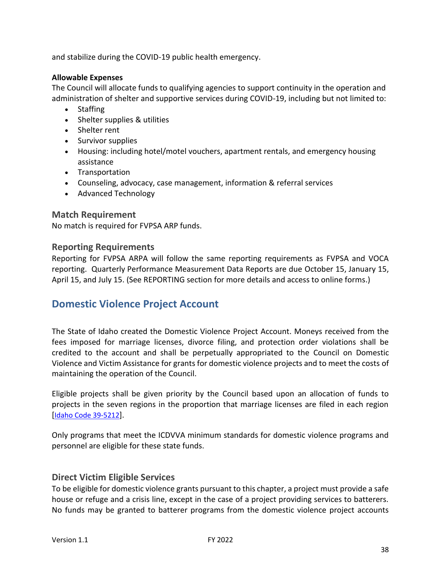and stabilize during the COVID-19 public health emergency.

### **Allowable Expenses**

The Council will allocate funds to qualifying agencies to support continuity in the operation and administration of shelter and supportive services during COVID-19, including but not limited to:

- Staffing
- Shelter supplies & utilities
- Shelter rent
- Survivor supplies
- Housing: including hotel/motel vouchers, apartment rentals, and emergency housing assistance
- Transportation
- Counseling, advocacy, case management, information & referral services
- Advanced Technology

### <span id="page-37-0"></span>**Match Requirement**

No match is required for FVPSA ARP funds.

### <span id="page-37-1"></span>**Reporting Requirements**

Reporting for FVPSA ARPA will follow the same reporting requirements as FVPSA and VOCA reporting. Quarterly Performance Measurement Data Reports are due October 15, January 15, April 15, and July 15. (See REPORTING section for more details and access to online forms.)

# <span id="page-37-2"></span>**Domestic Violence Project Account**

The State of Idaho created the Domestic Violence Project Account. Moneys received from the fees imposed for marriage licenses, divorce filing, and protection order violations shall be credited to the account and shall be perpetually appropriated to the Council on Domestic Violence and Victim Assistance for grants for domestic violence projects and to meet the costs of maintaining the operation of the Council.

Eligible projects shall be given priority by the Council based upon an allocation of funds to projects in the seven regions in the proportion that marriage licenses are filed in each region [[Idaho Code 39-5212](https://legislature.idaho.gov/statutesrules/idstat/title39/t39ch52/sect39-5212/)].

Only programs that meet the ICDVVA minimum standards for domestic violence programs and personnel are eligible for these state funds.

# <span id="page-37-3"></span>**Direct Victim Eligible Services**

To be eligible for domestic violence grants pursuant to this chapter, a project must provide a safe house or refuge and a crisis line, except in the case of a project providing services to batterers. No funds may be granted to batterer programs from the domestic violence project accounts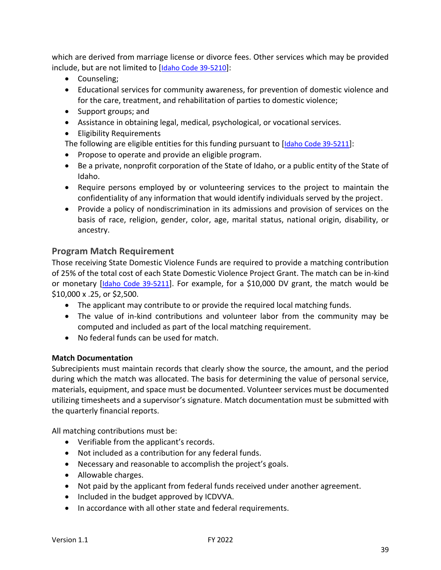which are derived from marriage license or divorce fees. Other services which may be provided include, but are not limited to [[Idaho Code 39-5210](https://legislature.idaho.gov/statutesrules/idstat/title39/t39ch52/sect39-5210/)]:

- Counseling;
- Educational services for community awareness, for prevention of domestic violence and for the care, treatment, and rehabilitation of parties to domestic violence;
- Support groups; and
- Assistance in obtaining legal, medical, psychological, or vocational services.
- Eligibility Requirements

The following are eligible entities for this funding pursuant to [[Idaho Code 39-5211](https://legislature.idaho.gov/statutesrules/idstat/title39/t39ch52/sect39-5211/)]:

- Propose to operate and provide an eligible program.
- Be a private, nonprofit corporation of the State of Idaho, or a public entity of the State of Idaho.
- Require persons employed by or volunteering services to the project to maintain the confidentiality of any information that would identify individuals served by the project.
- Provide a policy of nondiscrimination in its admissions and provision of services on the basis of race, religion, gender, color, age, marital status, national origin, disability, or ancestry.

# <span id="page-38-0"></span>**Program Match Requirement**

Those receiving State Domestic Violence Funds are required to provide a matching contribution of 25% of the total cost of each State Domestic Violence Project Grant. The match can be in-kind or monetary [[Idaho Code 39-5211](https://legislature.idaho.gov/statutesrules/idstat/title39/t39ch52/sect39-5211/)]. For example, for a \$10,000 DV grant, the match would be \$10,000 x .25, or \$2,500.

- The applicant may contribute to or provide the required local matching funds.
- The value of in-kind contributions and volunteer labor from the community may be computed and included as part of the local matching requirement.
- No federal funds can be used for match.

### **Match Documentation**

Subrecipients must maintain records that clearly show the source, the amount, and the period during which the match was allocated. The basis for determining the value of personal service, materials, equipment, and space must be documented. Volunteer services must be documented utilizing timesheets and a supervisor's signature. Match documentation must be submitted with the quarterly financial reports.

All matching contributions must be:

- Verifiable from the applicant's records.
- Not included as a contribution for any federal funds.
- Necessary and reasonable to accomplish the project's goals.
- Allowable charges.
- Not paid by the applicant from federal funds received under another agreement.
- Included in the budget approved by ICDVVA.
- In accordance with all other state and federal requirements.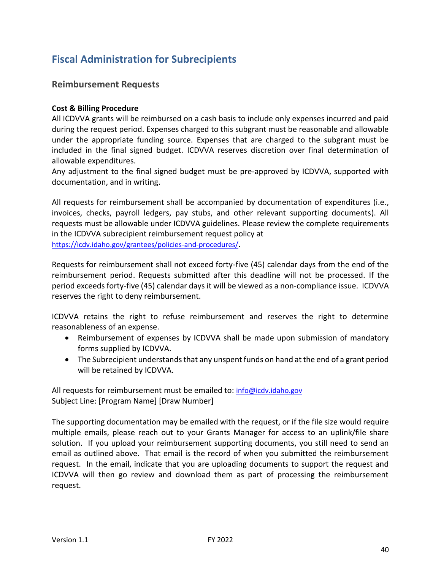# <span id="page-39-0"></span>**Fiscal Administration for Subrecipients**

# <span id="page-39-1"></span>**Reimbursement Requests**

### **Cost & Billing Procedure**

All ICDVVA grants will be reimbursed on a cash basis to include only expenses incurred and paid during the request period. Expenses charged to this subgrant must be reasonable and allowable under the appropriate funding source. Expenses that are charged to the subgrant must be included in the final signed budget. ICDVVA reserves discretion over final determination of allowable expenditures.

Any adjustment to the final signed budget must be pre-approved by ICDVVA, supported with documentation, and in writing.

All requests for reimbursement shall be accompanied by documentation of expenditures (i.e., invoices, checks, payroll ledgers, pay stubs, and other relevant supporting documents). All requests must be allowable under ICDVVA guidelines. Please review the complete requirements in the ICDVVA subrecipient reimbursement request policy at <https://icdv.idaho.gov/grantees/policies-and-procedures/>.

Requests for reimbursement shall not exceed forty-five (45) calendar days from the end of the reimbursement period. Requests submitted after this deadline will not be processed. If the period exceeds forty-five (45) calendar days it will be viewed as a non-compliance issue. ICDVVA reserves the right to deny reimbursement.

ICDVVA retains the right to refuse reimbursement and reserves the right to determine reasonableness of an expense.

- Reimbursement of expenses by ICDVVA shall be made upon submission of mandatory forms supplied by ICDVVA.
- The Subrecipient understands that any unspent funds on hand at the end of a grant period will be retained by ICDVVA.

All requests for reimbursement must be emailed to: [info@icdv.idaho.gov](mailto:info@icdv.idaho.gov) Subject Line: [Program Name] [Draw Number]

The supporting documentation may be emailed with the request, or if the file size would require multiple emails, please reach out to your Grants Manager for access to an uplink/file share solution. If you upload your reimbursement supporting documents, you still need to send an email as outlined above. That email is the record of when you submitted the reimbursement request. In the email, indicate that you are uploading documents to support the request and ICDVVA will then go review and download them as part of processing the reimbursement request.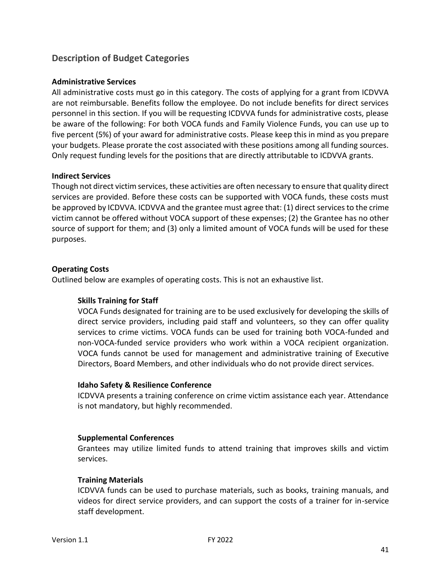# <span id="page-40-0"></span>**Description of Budget Categories**

### **Administrative Services**

All administrative costs must go in this category. The costs of applying for a grant from ICDVVA are not reimbursable. Benefits follow the employee. Do not include benefits for direct services personnel in this section. If you will be requesting ICDVVA funds for administrative costs, please be aware of the following: For both VOCA funds and Family Violence Funds, you can use up to five percent (5%) of your award for administrative costs. Please keep this in mind as you prepare your budgets. Please prorate the cost associated with these positions among all funding sources. Only request funding levels for the positions that are directly attributable to ICDVVA grants.

### **Indirect Services**

Though not direct victim services, these activities are often necessary to ensure that quality direct services are provided. Before these costs can be supported with VOCA funds, these costs must be approved by ICDVVA. ICDVVA and the grantee must agree that: (1) direct services to the crime victim cannot be offered without VOCA support of these expenses; (2) the Grantee has no other source of support for them; and (3) only a limited amount of VOCA funds will be used for these purposes.

### **Operating Costs**

Outlined below are examples of operating costs. This is not an exhaustive list.

### **Skills Training for Staff**

VOCA Funds designated for training are to be used exclusively for developing the skills of direct service providers, including paid staff and volunteers, so they can offer quality services to crime victims. VOCA funds can be used for training both VOCA-funded and non-VOCA-funded service providers who work within a VOCA recipient organization. VOCA funds cannot be used for management and administrative training of Executive Directors, Board Members, and other individuals who do not provide direct services.

### **Idaho Safety & Resilience Conference**

ICDVVA presents a training conference on crime victim assistance each year. Attendance is not mandatory, but highly recommended.

### **Supplemental Conferences**

Grantees may utilize limited funds to attend training that improves skills and victim services.

### **Training Materials**

ICDVVA funds can be used to purchase materials, such as books, training manuals, and videos for direct service providers, and can support the costs of a trainer for in-service staff development.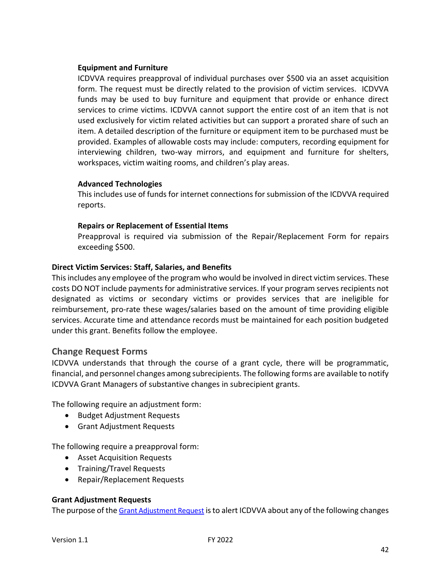### **Equipment and Furniture**

ICDVVA requires preapproval of individual purchases over \$500 via an asset acquisition form. The request must be directly related to the provision of victim services. ICDVVA funds may be used to buy furniture and equipment that provide or enhance direct services to crime victims. ICDVVA cannot support the entire cost of an item that is not used exclusively for victim related activities but can support a prorated share of such an item. A detailed description of the furniture or equipment item to be purchased must be provided. Examples of allowable costs may include: computers, recording equipment for interviewing children, two-way mirrors, and equipment and furniture for shelters, workspaces, victim waiting rooms, and children's play areas.

### **Advanced Technologies**

This includes use of funds for internet connections for submission of the ICDVVA required reports.

### **Repairs or Replacement of Essential Items**

Preapproval is required via submission of the Repair/Replacement Form for repairs exceeding \$500.

### **Direct Victim Services: Staff, Salaries, and Benefits**

This includes any employee of the program who would be involved in direct victim services. These costs DO NOT include payments for administrative services. If your program serves recipients not designated as victims or secondary victims or provides services that are ineligible for reimbursement, pro-rate these wages/salaries based on the amount of time providing eligible services. Accurate time and attendance records must be maintained for each position budgeted under this grant. Benefits follow the employee.

### <span id="page-41-0"></span>**Change Request Forms**

ICDVVA understands that through the course of a grant cycle, there will be programmatic, financial, and personnel changes among subrecipients. The following forms are available to notify ICDVVA Grant Managers of substantive changes in subrecipient grants.

The following require an adjustment form:

- Budget Adjustment Requests
- Grant Adjustment Requests

The following require a preapproval form:

- Asset Acquisition Requests
- Training/Travel Requests
- Repair/Replacement Requests

### **Grant Adjustment Requests**

The purpose of the [Grant Adjustment Request](https://form.jotform.com/91915244374157) is to alert ICDVVA about any of the following changes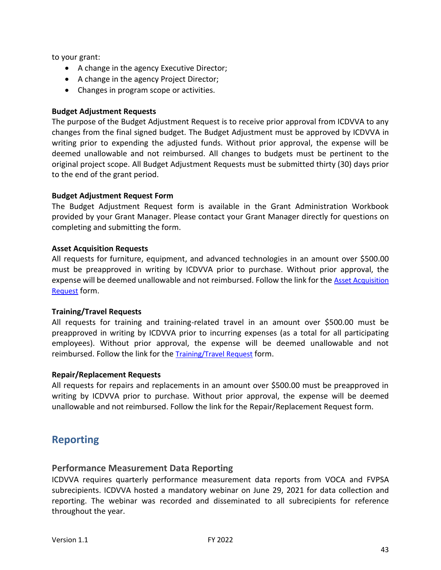to your grant:

- A change in the agency Executive Director;
- A change in the agency Project Director;
- Changes in program scope or activities.

### **Budget Adjustment Requests**

The purpose of the Budget Adjustment Request is to receive prior approval from ICDVVA to any changes from the final signed budget. The Budget Adjustment must be approved by ICDVVA in writing prior to expending the adjusted funds. Without prior approval, the expense will be deemed unallowable and not reimbursed. All changes to budgets must be pertinent to the original project scope. All Budget Adjustment Requests must be submitted thirty (30) days prior to the end of the grant period.

### **Budget Adjustment Request Form**

The Budget Adjustment Request form is available in the Grant Administration Workbook provided by your Grant Manager. Please contact your Grant Manager directly for questions on completing and submitting the form.

### **Asset Acquisition Requests**

All requests for furniture, equipment, and advanced technologies in an amount over \$500.00 must be preapproved in writing by ICDVVA prior to purchase. Without prior approval, the expense will be deemed unallowable and not reimbursed. Follow the link for the [Asset Acquisition](https://form.jotform.com/91926978168174)  [Request](https://form.jotform.com/91926978168174) form.

### **Training/Travel Requests**

All requests for training and training-related travel in an amount over \$500.00 must be preapproved in writing by ICDVVA prior to incurring expenses (as a total for all participating employees). Without prior approval, the expense will be deemed unallowable and not reimbursed. Follow the link for the [Training/Travel](https://form.jotform.com/91926978168174) Request form.

### **Repair/Replacement Requests**

All requests for repairs and replacements in an amount over \$500.00 must be preapproved in writing by ICDVVA prior to purchase. Without prior approval, the expense will be deemed unallowable and not reimbursed. Follow the link for the Repair/Replacement Request form.

# <span id="page-42-0"></span>**Reporting**

### <span id="page-42-1"></span>**Performance Measurement Data Reporting**

ICDVVA requires quarterly performance measurement data reports from VOCA and FVPSA subrecipients. ICDVVA hosted a mandatory webinar on June 29, 2021 for data collection and reporting. The webinar was recorded and disseminated to all subrecipients for reference throughout the year.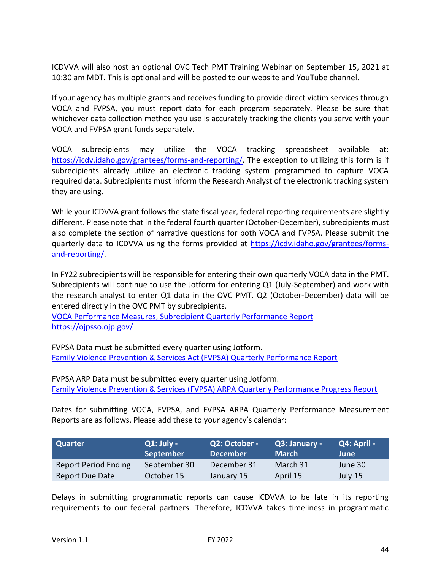ICDVVA will also host an optional OVC Tech PMT Training Webinar on September 15, 2021 at 10:30 am MDT. This is optional and will be posted to our website and YouTube channel.

If your agency has multiple grants and receives funding to provide direct victim services through VOCA and FVPSA, you must report data for each program separately. Please be sure that whichever data collection method you use is accurately tracking the clients you serve with your VOCA and FVPSA grant funds separately.

VOCA subrecipients may utilize the VOCA tracking spreadsheet available at: [https://icdv.idaho.gov/grantees/forms-and-reporting/.](https://icdv.idaho.gov/grantees/forms-and-reporting/) The exception to utilizing this form is if subrecipients already utilize an electronic tracking system programmed to capture VOCA required data. Subrecipients must inform the Research Analyst of the electronic tracking system they are using.

While your ICDVVA grant follows the state fiscal year, federal reporting requirements are slightly different. Please note that in the federal fourth quarter (October-December), subrecipients must also complete the section of narrative questions for both VOCA and FVPSA. Please submit the quarterly data to ICDVVA using the forms provided at [https://icdv.idaho.gov/grantees/forms](https://icdv.idaho.gov/grantees/forms-and-reporting/)[and-reporting/.](https://icdv.idaho.gov/grantees/forms-and-reporting/)

In FY22 subrecipients will be responsible for entering their own quarterly VOCA data in the PMT. Subrecipients will continue to use the Jotform for entering Q1 (July-September) and work with the research analyst to enter Q1 data in the OVC PMT. Q2 (October-December) data will be entered directly in the OVC PMT by subrecipients.

[VOCA Performance Measures, Subrecipient Quarterly Performance Report](https://form.jotform.com/91767058842165) <https://ojpsso.ojp.gov/>

FVPSA Data must be submitted every quarter using Jotform. [Family Violence Prevention & Services Act \(FVPSA\) Quarterly Performance Report](https://form.jotform.com/91975318251159)

FVPSA ARP Data must be submitted every quarter using Jotform. [Family Violence Prevention & Services \(FVPSA\) ARPA Quarterly Performance Progress Report](https://form.jotform.com/212275634723152)

Dates for submitting VOCA, FVPSA, and FVPSA ARPA Quarterly Performance Measurement Reports are as follows. Please add these to your agency's calendar:

| <b>Quarter</b>              | $Q1:$ July - | Q2: October - | Q3: January - | Q4: April - |
|-----------------------------|--------------|---------------|---------------|-------------|
|                             | September    | December      | <b>March</b>  | <b>June</b> |
| <b>Report Period Ending</b> | September 30 | December 31   | March 31      | June 30     |
| Report Due Date             | October 15   | January 15    | April 15      | July 15     |

Delays in submitting programmatic reports can cause ICDVVA to be late in its reporting requirements to our federal partners. Therefore, ICDVVA takes timeliness in programmatic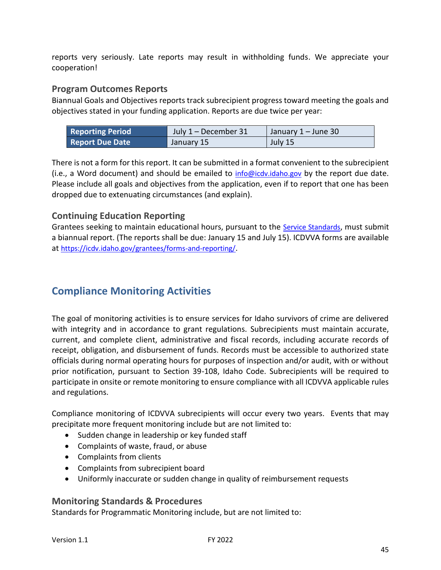reports very seriously. Late reports may result in withholding funds. We appreciate your cooperation!

# <span id="page-44-0"></span>**Program Outcomes Reports**

Biannual Goals and Objectives reports track subrecipient progress toward meeting the goals and objectives stated in your funding application. Reports are due twice per year:

| <b>Reporting Period</b> | July $1 -$ December 31 | January 1 – June 30 |
|-------------------------|------------------------|---------------------|
| <b>Report Due Date</b>  | January 15             | July 15             |

There is not a form for this report. It can be submitted in a format convenient to the subrecipient (i.e., a Word document) and should be emailed to [info@icdv.idaho.gov](mailto:info@icdv.idaho.gov) by the report due date. Please include all goals and objectives from the application, even if to report that one has been dropped due to extenuating circumstances (and explain).

# <span id="page-44-1"></span>**Continuing Education Reporting**

Grantees seeking to maintain educational hours, pursuant to the [Service Standards](https://icdv.idaho.gov/wp-content/uploads/sites/80/2019/10/ICDVVA_Standards_9-9-2013.pdf), must submit a biannual report. (The reports shall be due: January 15 and July 15). ICDVVA forms are available at <https://icdv.idaho.gov/grantees/forms-and-reporting/>.

# <span id="page-44-2"></span>**Compliance Monitoring Activities**

The goal of monitoring activities is to ensure services for Idaho survivors of crime are delivered with integrity and in accordance to grant regulations. Subrecipients must maintain accurate, current, and complete client, administrative and fiscal records, including accurate records of receipt, obligation, and disbursement of funds. Records must be accessible to authorized state officials during normal operating hours for purposes of inspection and/or audit, with or without prior notification, pursuant to Section 39-108, Idaho Code. Subrecipients will be required to participate in onsite or remote monitoring to ensure compliance with all ICDVVA applicable rules and regulations.

Compliance monitoring of ICDVVA subrecipients will occur every two years. Events that may precipitate more frequent monitoring include but are not limited to:

- Sudden change in leadership or key funded staff
- Complaints of waste, fraud, or abuse
- Complaints from clients
- Complaints from subrecipient board
- Uniformly inaccurate or sudden change in quality of reimbursement requests

### <span id="page-44-3"></span>**Monitoring Standards & Procedures**

Standards for Programmatic Monitoring include, but are not limited to: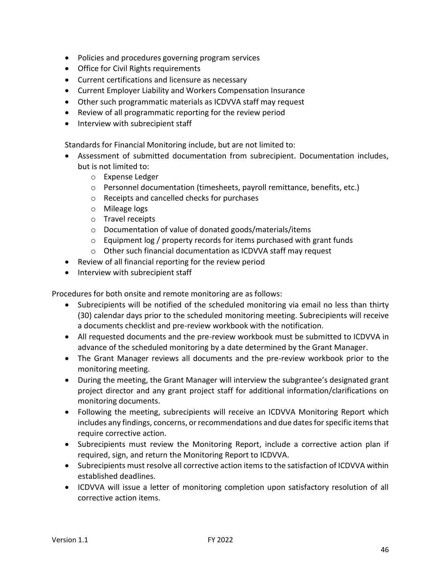- Policies and procedures governing program services
- Office for Civil Rights requirements
- Current certifications and licensure as necessary
- Current Employer Liability and Workers Compensation Insurance
- Other such programmatic materials as ICDVVA staff may request
- Review of all programmatic reporting for the review period
- Interview with subrecipient staff

Standards for Financial Monitoring include, but are not limited to:

- Assessment of submitted documentation from subrecipient. Documentation includes, but is not limited to:
	- o Expense Ledger
	- o Personnel documentation (timesheets, payroll remittance, benefits, etc.)
	- o Receipts and cancelled checks for purchases
	- o Mileage logs
	- o Travel receipts
	- o Documentation of value of donated goods/materials/items
	- o Equipment log / property records for items purchased with grant funds
	- o Other such financial documentation as ICDVVA staff may request
- Review of all financial reporting for the review period
- Interview with subrecipient staff

Procedures for both onsite and remote monitoring are as follows:

- Subrecipients will be notified of the scheduled monitoring via email no less than thirty (30) calendar days prior to the scheduled monitoring meeting. Subrecipients will receive a documents checklist and pre-review workbook with the notification.
- All requested documents and the pre-review workbook must be submitted to ICDVVA in advance of the scheduled monitoring by a date determined by the Grant Manager.
- The Grant Manager reviews all documents and the pre-review workbook prior to the monitoring meeting.
- During the meeting, the Grant Manager will interview the subgrantee's designated grant project director and any grant project staff for additional information/clarifications on monitoring documents.
- Following the meeting, subrecipients will receive an ICDVVA Monitoring Report which includes any findings, concerns, or recommendations and due dates for specific items that require corrective action.
- Subrecipients must review the Monitoring Report, include a corrective action plan if required, sign, and return the Monitoring Report to ICDVVA.
- Subrecipients must resolve all corrective action items to the satisfaction of ICDVVA within established deadlines.
- ICDVVA will issue a letter of monitoring completion upon satisfactory resolution of all corrective action items.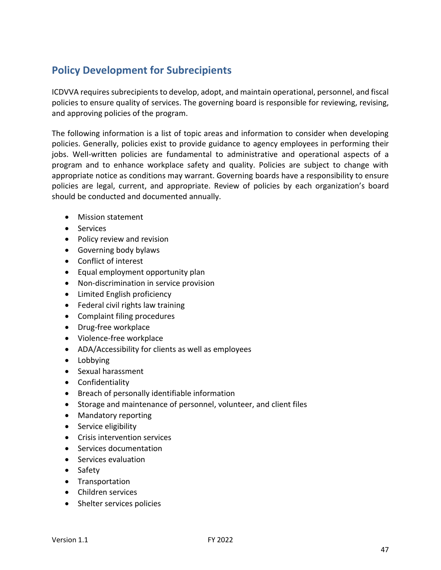# <span id="page-46-0"></span>**Policy Development for Subrecipients**

ICDVVA requires subrecipients to develop, adopt, and maintain operational, personnel, and fiscal policies to ensure quality of services. The governing board is responsible for reviewing, revising, and approving policies of the program.

The following information is a list of topic areas and information to consider when developing policies. Generally, policies exist to provide guidance to agency employees in performing their jobs. Well-written policies are fundamental to administrative and operational aspects of a program and to enhance workplace safety and quality. Policies are subject to change with appropriate notice as conditions may warrant. Governing boards have a responsibility to ensure policies are legal, current, and appropriate. Review of policies by each organization's board should be conducted and documented annually.

- Mission statement
- Services
- Policy review and revision
- Governing body bylaws
- Conflict of interest
- Equal employment opportunity plan
- Non-discrimination in service provision
- Limited English proficiency
- Federal civil rights law training
- Complaint filing procedures
- Drug-free workplace
- Violence-free workplace
- ADA/Accessibility for clients as well as employees
- Lobbying
- Sexual harassment
- Confidentiality
- Breach of personally identifiable information
- Storage and maintenance of personnel, volunteer, and client files
- Mandatory reporting
- Service eligibility
- Crisis intervention services
- Services documentation
- Services evaluation
- Safety
- Transportation
- Children services
- Shelter services policies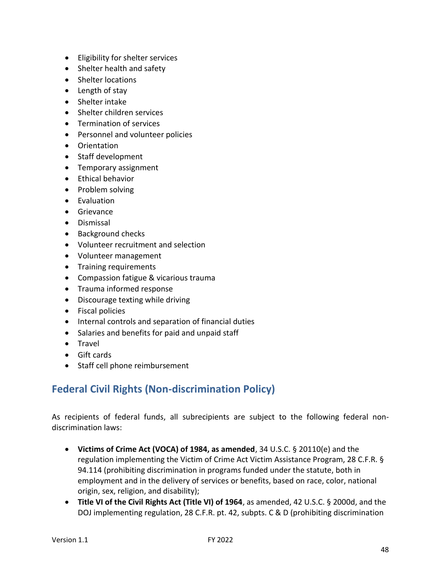- Eligibility for shelter services
- Shelter health and safety
- Shelter locations
- Length of stay
- Shelter intake
- Shelter children services
- Termination of services
- Personnel and volunteer policies
- Orientation
- Staff development
- Temporary assignment
- Ethical behavior
- Problem solving
- Evaluation
- Grievance
- Dismissal
- Background checks
- Volunteer recruitment and selection
- Volunteer management
- Training requirements
- Compassion fatigue & vicarious trauma
- Trauma informed response
- Discourage texting while driving
- Fiscal policies
- Internal controls and separation of financial duties
- Salaries and benefits for paid and unpaid staff
- Travel
- Gift cards
- Staff cell phone reimbursement

# <span id="page-47-0"></span>**Federal Civil Rights (Non-discrimination Policy)**

As recipients of federal funds, all subrecipients are subject to the following federal nondiscrimination laws:

- **Victims of Crime Act (VOCA) of 1984, as amended**, 34 U.S.C. § 20110(e) and the regulation implementing the Victim of Crime Act Victim Assistance Program, 28 C.F.R. § 94.114 (prohibiting discrimination in programs funded under the statute, both in employment and in the delivery of services or benefits, based on race, color, national origin, sex, religion, and disability);
- **Title VI of the Civil Rights Act (Title VI) of 1964**, as amended, 42 U.S.C. § 2000d, and the DOJ implementing regulation, 28 C.F.R. pt. 42, subpts. C & D (prohibiting discrimination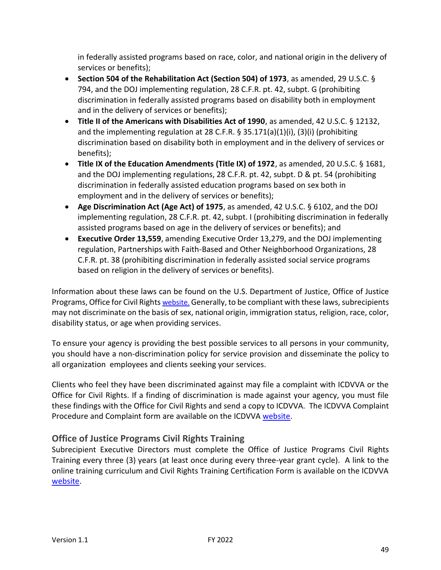in federally assisted programs based on race, color, and national origin in the delivery of services or benefits);

- **Section 504 of the Rehabilitation Act (Section 504) of 1973**, as amended, 29 U.S.C. § 794, and the DOJ implementing regulation, 28 C.F.R. pt. 42, subpt. G (prohibiting discrimination in federally assisted programs based on disability both in employment and in the delivery of services or benefits);
- **Title II of the Americans with Disabilities Act of 1990**, as amended, 42 U.S.C. § 12132, and the implementing regulation at 28 C.F.R.  $\S$  35.171(a)(1)(i), (3)(i) (prohibiting discrimination based on disability both in employment and in the delivery of services or benefits);
- **Title IX of the Education Amendments (Title IX) of 1972**, as amended, 20 U.S.C. § 1681, and the DOJ implementing regulations, 28 C.F.R. pt. 42, subpt. D & pt. 54 (prohibiting discrimination in federally assisted education programs based on sex both in employment and in the delivery of services or benefits);
- **Age Discrimination Act (Age Act) of 1975**, as amended, 42 U.S.C. § 6102, and the DOJ implementing regulation, 28 C.F.R. pt. 42, subpt. I (prohibiting discrimination in federally assisted programs based on age in the delivery of services or benefits); and
- **Executive Order 13,559**, amending Executive Order 13,279, and the DOJ implementing regulation, Partnerships with Faith-Based and Other Neighborhood Organizations, 28 C.F.R. pt. 38 (prohibiting discrimination in federally assisted social service programs based on religion in the delivery of services or benefits).

Information about these laws can be found on the U.S. Department of Justice, Office of Justice Programs, Office for Civil Rights [website.](http://www.ojp.usdoj.gov/about/ocr/statutes.htm) Generally, to be compliant with these laws, subrecipients may not discriminate on the basis of sex, national origin, immigration status, religion, race, color, disability status, or age when providing services.

To ensure your agency is providing the best possible services to all persons in your community, you should have a non-discrimination policy for service provision and disseminate the policy to all organization employees and clients seeking your services.

Clients who feel they have been discriminated against may file a complaint with ICDVVA or the Office for Civil Rights. If a finding of discrimination is made against your agency, you must file these findings with the Office for Civil Rights and send a copy to ICDVVA. The ICDVVA Complaint Procedure and Complaint form are available on the ICDVV[A website.](https://icdv.idaho.gov/resources/civil-rights/)

# <span id="page-48-0"></span>**Office of Justice Programs Civil Rights Training**

Subrecipient Executive Directors must complete the Office of Justice Programs Civil Rights Training every three (3) years (at least once during every three-year grant cycle). A link to the online training curriculum and Civil Rights Training Certification Form is available on the ICDVVA [website.](https://icdv.idaho.gov/resources/civil-rights/)